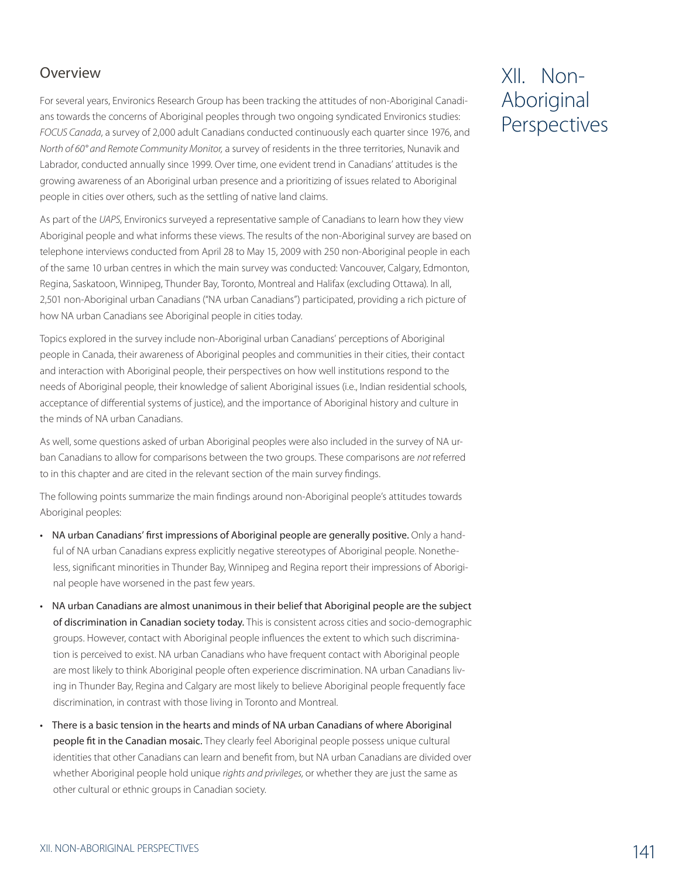## Overview

For several years, Environics Research Group has been tracking the attitudes of non-Aboriginal Canadians towards the concerns of Aboriginal peoples through two ongoing syndicated Environics studies: *FOCUS Canada*, a survey of 2,000 adult Canadians conducted continuously each quarter since 1976, and *North of 60° and Remote Community Monitor,* a survey of residents in the three territories, Nunavik and Labrador, conducted annually since 1999. Over time, one evident trend in Canadians' attitudes is the growing awareness of an Aboriginal urban presence and a prioritizing of issues related to Aboriginal people in cities over others, such as the settling of native land claims.

As part of the *UAPS*, Environics surveyed a representative sample of Canadians to learn how they view Aboriginal people and what informs these views. The results of the non-Aboriginal survey are based on telephone interviews conducted from April 28 to May 15, 2009 with 250 non-Aboriginal people in each of the same 10 urban centres in which the main survey was conducted: Vancouver, Calgary, Edmonton, Regina, Saskatoon, Winnipeg, Thunder Bay, Toronto, Montreal and Halifax (excluding Ottawa). In all, 2,501 non-Aboriginal urban Canadians ("NA urban Canadians") participated, providing a rich picture of how NA urban Canadians see Aboriginal people in cities today.

Topics explored in the survey include non-Aboriginal urban Canadians' perceptions of Aboriginal people in Canada, their awareness of Aboriginal peoples and communities in their cities, their contact and interaction with Aboriginal people, their perspectives on how well institutions respond to the needs of Aboriginal people, their knowledge of salient Aboriginal issues (i.e., Indian residential schools, acceptance of differential systems of justice), and the importance of Aboriginal history and culture in the minds of NA urban Canadians.

As well, some questions asked of urban Aboriginal peoples were also included in the survey of NA urban Canadians to allow for comparisons between the two groups. These comparisons are *not* referred to in this chapter and are cited in the relevant section of the main survey findings.

The following points summarize the main findings around non-Aboriginal people's attitudes towards Aboriginal peoples:

- NA urban Canadians' first impressions of Aboriginal people are generally positive. Only a handful of NA urban Canadians express explicitly negative stereotypes of Aboriginal people. Nonetheless, significant minorities in Thunder Bay, Winnipeg and Regina report their impressions of Aboriginal people have worsened in the past few years.
- NA urban Canadians are almost unanimous in their belief that Aboriginal people are the subject of discrimination in Canadian society today. This is consistent across cities and socio-demographic groups. However, contact with Aboriginal people influences the extent to which such discrimination is perceived to exist. NA urban Canadians who have frequent contact with Aboriginal people are most likely to think Aboriginal people often experience discrimination. NA urban Canadians living in Thunder Bay, Regina and Calgary are most likely to believe Aboriginal people frequently face discrimination, in contrast with those living in Toronto and Montreal.
- There is a basic tension in the hearts and minds of NA urban Canadians of where Aboriginal people fit in the Canadian mosaic. They clearly feel Aboriginal people possess unique cultural identities that other Canadians can learn and benefit from, but NA urban Canadians are divided over whether Aboriginal people hold unique *rights and privileges,* or whether they are just the same as other cultural or ethnic groups in Canadian society.

# XII. Non-Aboriginal Perspectives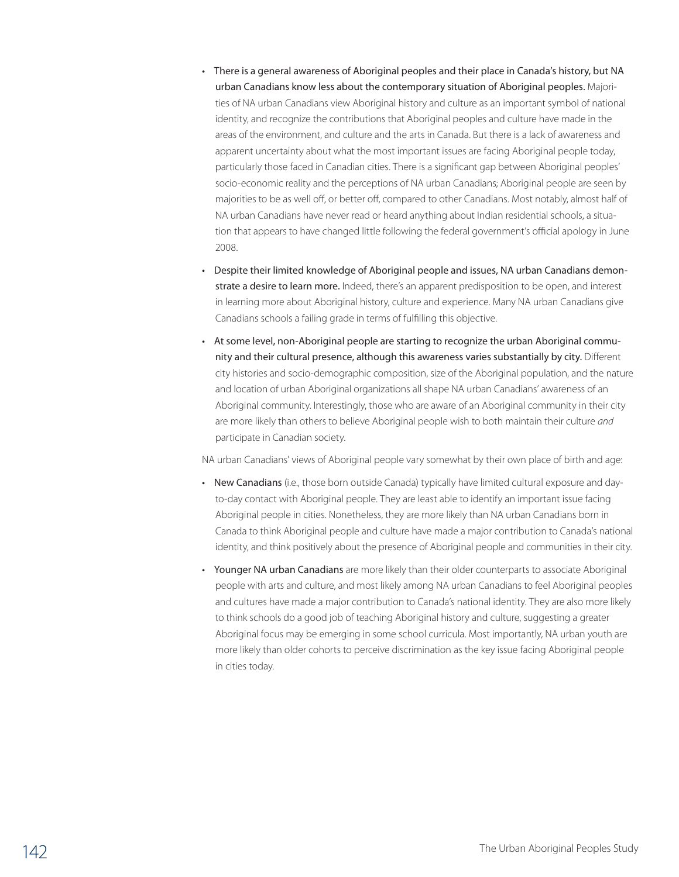- There is a general awareness of Aboriginal peoples and their place in Canada's history, but NA urban Canadians know less about the contemporary situation of Aboriginal peoples. Majorities of NA urban Canadians view Aboriginal history and culture as an important symbol of national identity, and recognize the contributions that Aboriginal peoples and culture have made in the areas of the environment, and culture and the arts in Canada. But there is a lack of awareness and apparent uncertainty about what the most important issues are facing Aboriginal people today, particularly those faced in Canadian cities. There is a significant gap between Aboriginal peoples' socio-economic reality and the perceptions of NA urban Canadians; Aboriginal people are seen by majorities to be as well off, or better off, compared to other Canadians. Most notably, almost half of NA urban Canadians have never read or heard anything about Indian residential schools, a situation that appears to have changed little following the federal government's official apology in June 2008.
- Despite their limited knowledge of Aboriginal people and issues, NA urban Canadians demonstrate a desire to learn more. Indeed, there's an apparent predisposition to be open, and interest in learning more about Aboriginal history, culture and experience. Many NA urban Canadians give Canadians schools a failing grade in terms of fulfilling this objective.
- At some level, non-Aboriginal people are starting to recognize the urban Aboriginal community and their cultural presence, although this awareness varies substantially by city. Different city histories and socio-demographic composition, size of the Aboriginal population, and the nature and location of urban Aboriginal organizations all shape NA urban Canadians' awareness of an Aboriginal community. Interestingly, those who are aware of an Aboriginal community in their city are more likely than others to believe Aboriginal people wish to both maintain their culture *and* participate in Canadian society.

NA urban Canadians' views of Aboriginal people vary somewhat by their own place of birth and age:

- New Canadians (i.e., those born outside Canada) typically have limited cultural exposure and dayto-day contact with Aboriginal people. They are least able to identify an important issue facing Aboriginal people in cities. Nonetheless, they are more likely than NA urban Canadians born in Canada to think Aboriginal people and culture have made a major contribution to Canada's national identity, and think positively about the presence of Aboriginal people and communities in their city.
- Younger NA urban Canadians are more likely than their older counterparts to associate Aboriginal people with arts and culture, and most likely among NA urban Canadians to feel Aboriginal peoples and cultures have made a major contribution to Canada's national identity. They are also more likely to think schools do a good job of teaching Aboriginal history and culture, suggesting a greater Aboriginal focus may be emerging in some school curricula. Most importantly, NA urban youth are more likely than older cohorts to perceive discrimination as the key issue facing Aboriginal people in cities today.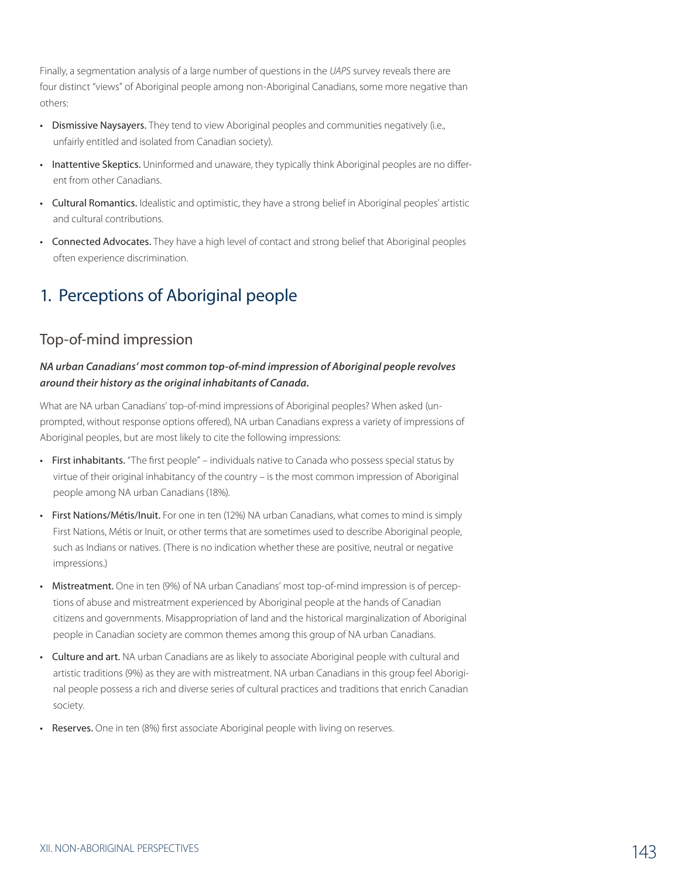Finally, a segmentation analysis of a large number of questions in the *UAPS* survey reveals there are four distinct "views" of Aboriginal people among non-Aboriginal Canadians, some more negative than others:

- Dismissive Naysayers. They tend to view Aboriginal peoples and communities negatively (i.e., unfairly entitled and isolated from Canadian society).
- Inattentive Skeptics. Uninformed and unaware, they typically think Aboriginal peoples are no different from other Canadians.
- Cultural Romantics. Idealistic and optimistic, they have a strong belief in Aboriginal peoples' artistic and cultural contributions.
- Connected Advocates. They have a high level of contact and strong belief that Aboriginal peoples often experience discrimination.

# 1. Perceptions of Aboriginal people

# Top-of-mind impression

#### *NA urban Canadians' most common top-of-mind impression of Aboriginal people revolves around their history as the original inhabitants of Canada.*

What are NA urban Canadians' top-of-mind impressions of Aboriginal peoples? When asked (unprompted, without response options offered), NA urban Canadians express a variety of impressions of Aboriginal peoples, but are most likely to cite the following impressions:

- First inhabitants. "The first people" individuals native to Canada who possess special status by virtue of their original inhabitancy of the country – is the most common impression of Aboriginal people among NA urban Canadians (18%).
- First Nations/Métis/Inuit. For one in ten (12%) NA urban Canadians, what comes to mind is simply First Nations, Métis or Inuit, or other terms that are sometimes used to describe Aboriginal people, such as Indians or natives. (There is no indication whether these are positive, neutral or negative impressions.)
- Mistreatment. One in ten (9%) of NA urban Canadians' most top-of-mind impression is of perceptions of abuse and mistreatment experienced by Aboriginal people at the hands of Canadian citizens and governments. Misappropriation of land and the historical marginalization of Aboriginal people in Canadian society are common themes among this group of NA urban Canadians.
- Culture and art. NA urban Canadians are as likely to associate Aboriginal people with cultural and artistic traditions (9%) as they are with mistreatment. NA urban Canadians in this group feel Aboriginal people possess a rich and diverse series of cultural practices and traditions that enrich Canadian society.
- Reserves. One in ten (8%) first associate Aboriginal people with living on reserves.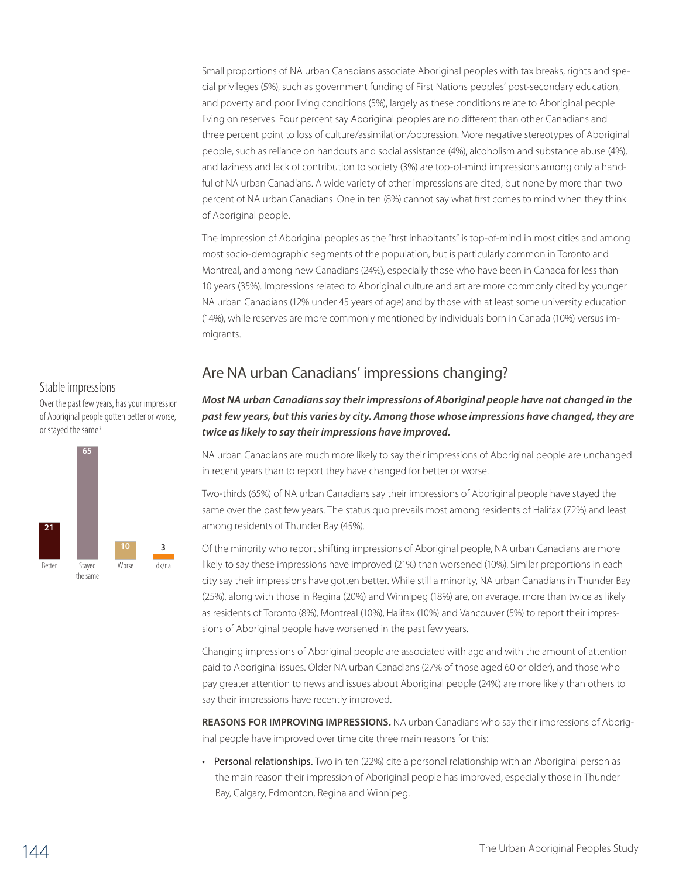Small proportions of NA urban Canadians associate Aboriginal peoples with tax breaks, rights and special privileges (5%), such as government funding of First Nations peoples' post-secondary education, and poverty and poor living conditions (5%), largely as these conditions relate to Aboriginal people living on reserves. Four percent say Aboriginal peoples are no different than other Canadians and three percent point to loss of culture/assimilation/oppression. More negative stereotypes of Aboriginal people, such as reliance on handouts and social assistance (4%), alcoholism and substance abuse (4%), and laziness and lack of contribution to society (3%) are top-of-mind impressions among only a handful of NA urban Canadians. A wide variety of other impressions are cited, but none by more than two percent of NA urban Canadians. One in ten (8%) cannot say what first comes to mind when they think of Aboriginal people.

The impression of Aboriginal peoples as the "first inhabitants" is top-of-mind in most cities and among most socio-demographic segments of the population, but is particularly common in Toronto and Montreal, and among new Canadians (24%), especially those who have been in Canada for less than 10 years (35%). Impressions related to Aboriginal culture and art are more commonly cited by younger NA urban Canadians (12% under 45 years of age) and by those with at least some university education (14%), while reserves are more commonly mentioned by individuals born in Canada (10%) versus immigrants.

#### Stable impressions

Over the past few years, has your impression of Aboriginal people gotten better or worse, or stayed the same?



# Are NA urban Canadians' impressions changing?

### *Most NA urban Canadians say their impressions of Aboriginal people have not changed in the past few years, but this varies by city. Among those whose impressions have changed, they are twice as likely to say their impressions have improved.*

NA urban Canadians are much more likely to say their impressions of Aboriginal people are unchanged in recent years than to report they have changed for better or worse.

Two-thirds (65%) of NA urban Canadians say their impressions of Aboriginal people have stayed the same over the past few years. The status quo prevails most among residents of Halifax (72%) and least among residents of Thunder Bay (45%).

Of the minority who report shifting impressions of Aboriginal people, NA urban Canadians are more likely to say these impressions have improved (21%) than worsened (10%). Similar proportions in each city say their impressions have gotten better. While still a minority, NA urban Canadians in Thunder Bay (25%), along with those in Regina (20%) and Winnipeg (18%) are, on average, more than twice as likely as residents of Toronto (8%), Montreal (10%), Halifax (10%) and Vancouver (5%) to report their impressions of Aboriginal people have worsened in the past few years.

Changing impressions of Aboriginal people are associated with age and with the amount of attention paid to Aboriginal issues. Older NA urban Canadians (27% of those aged 60 or older), and those who pay greater attention to news and issues about Aboriginal people (24%) are more likely than others to say their impressions have recently improved.

**Reasons for improving impressions.** NA urban Canadians who say their impressions of Aboriginal people have improved over time cite three main reasons for this:

• Personal relationships. Two in ten (22%) cite a personal relationship with an Aboriginal person as the main reason their impression of Aboriginal people has improved, especially those in Thunder Bay, Calgary, Edmonton, Regina and Winnipeg.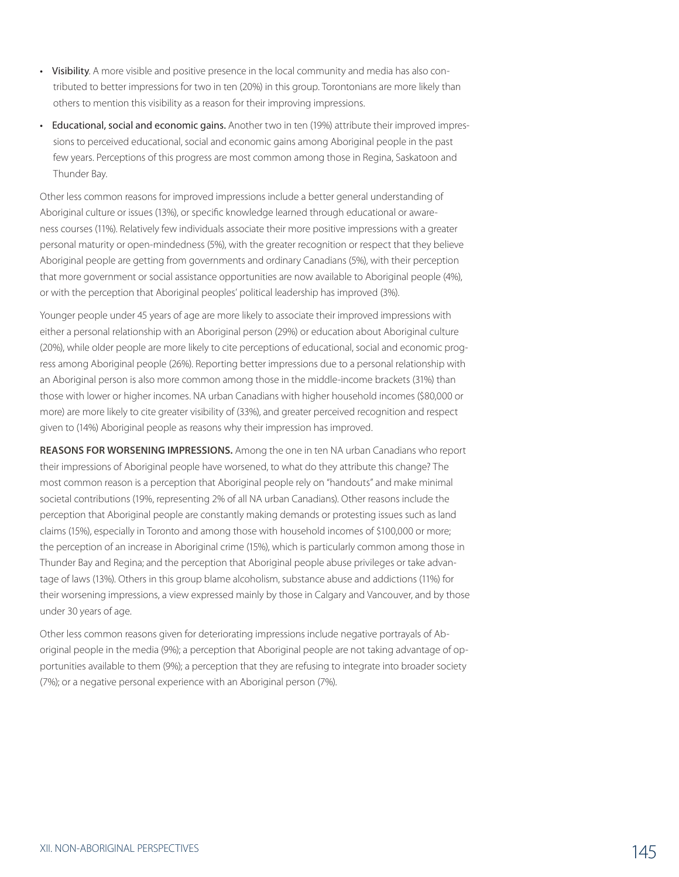- Visibility. A more visible and positive presence in the local community and media has also contributed to better impressions for two in ten (20%) in this group. Torontonians are more likely than others to mention this visibility as a reason for their improving impressions.
- Educational, social and economic gains. Another two in ten (19%) attribute their improved impressions to perceived educational, social and economic gains among Aboriginal people in the past few years. Perceptions of this progress are most common among those in Regina, Saskatoon and Thunder Bay.

Other less common reasons for improved impressions include a better general understanding of Aboriginal culture or issues (13%), or specific knowledge learned through educational or awareness courses (11%). Relatively few individuals associate their more positive impressions with a greater personal maturity or open-mindedness (5%), with the greater recognition or respect that they believe Aboriginal people are getting from governments and ordinary Canadians (5%), with their perception that more government or social assistance opportunities are now available to Aboriginal people (4%), or with the perception that Aboriginal peoples' political leadership has improved (3%).

Younger people under 45 years of age are more likely to associate their improved impressions with either a personal relationship with an Aboriginal person (29%) or education about Aboriginal culture (20%), while older people are more likely to cite perceptions of educational, social and economic progress among Aboriginal people (26%). Reporting better impressions due to a personal relationship with an Aboriginal person is also more common among those in the middle-income brackets (31%) than those with lower or higher incomes. NA urban Canadians with higher household incomes (\$80,000 or more) are more likely to cite greater visibility of (33%), and greater perceived recognition and respect given to (14%) Aboriginal people as reasons why their impression has improved.

**Reasons for worsening impressions.** Among the one in ten NA urban Canadians who report their impressions of Aboriginal people have worsened, to what do they attribute this change? The most common reason is a perception that Aboriginal people rely on "handouts" and make minimal societal contributions (19%, representing 2% of all NA urban Canadians). Other reasons include the perception that Aboriginal people are constantly making demands or protesting issues such as land claims (15%), especially in Toronto and among those with household incomes of \$100,000 or more; the perception of an increase in Aboriginal crime (15%), which is particularly common among those in Thunder Bay and Regina; and the perception that Aboriginal people abuse privileges or take advantage of laws (13%). Others in this group blame alcoholism, substance abuse and addictions (11%) for their worsening impressions, a view expressed mainly by those in Calgary and Vancouver, and by those under 30 years of age.

Other less common reasons given for deteriorating impressions include negative portrayals of Aboriginal people in the media (9%); a perception that Aboriginal people are not taking advantage of opportunities available to them (9%); a perception that they are refusing to integrate into broader society (7%); or a negative personal experience with an Aboriginal person (7%).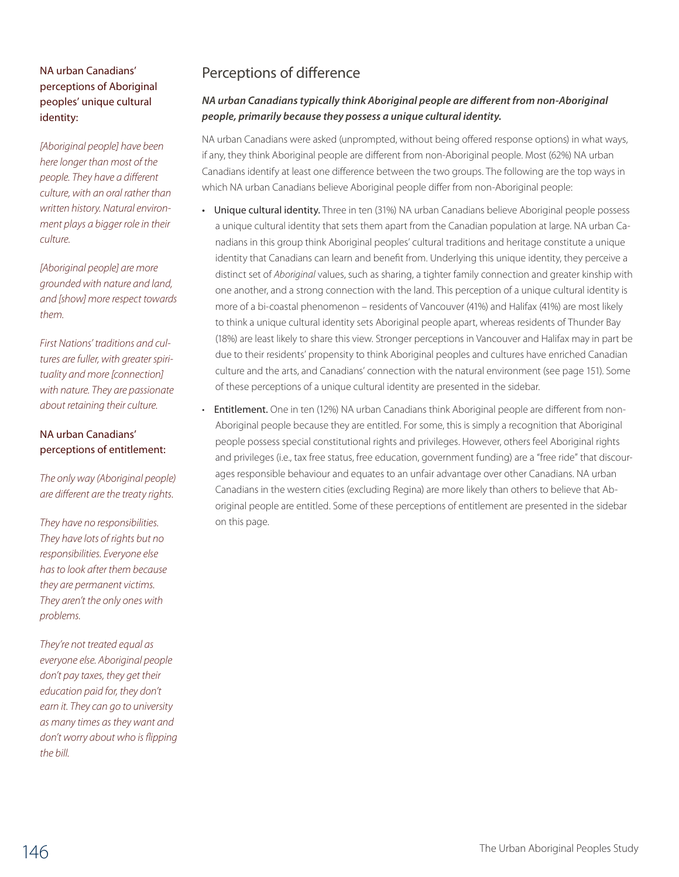### NA urban Canadians' perceptions of Aboriginal peoples' unique cultural identity:

*[Aboriginal people] have been here longer than most of the people. They have a different culture, with an oral rather than written history. Natural environment plays a bigger role in their culture.*

*[Aboriginal people] are more grounded with nature and land, and [show] more respect towards them.* 

*First Nations' traditions and cultures are fuller, with greater spirituality and more [connection] with nature. They are passionate about retaining their culture.*

#### NA urban Canadians' perceptions of entitlement:

*The only way (Aboriginal people) are different are the treaty rights.*

*They have no responsibilities. They have lots of rights but no responsibilities. Everyone else has to look after them because they are permanent victims. They aren't the only ones with problems.*

*They're not treated equal as everyone else. Aboriginal people don't pay taxes, they get their education paid for, they don't earn it. They can go to university as many times as they want and don't worry about who is flipping the bill.*

# Perceptions of difference

### *NA urban Canadians typically think Aboriginal people are different from non-Aboriginal people, primarily because they possess a unique cultural identity.*

NA urban Canadians were asked (unprompted, without being offered response options) in what ways, if any, they think Aboriginal people are different from non-Aboriginal people. Most (62%) NA urban Canadians identify at least one difference between the two groups. The following are the top ways in which NA urban Canadians believe Aboriginal people differ from non-Aboriginal people:

- Unique cultural identity. Three in ten (31%) NA urban Canadians believe Aboriginal people possess a unique cultural identity that sets them apart from the Canadian population at large. NA urban Canadians in this group think Aboriginal peoples' cultural traditions and heritage constitute a unique identity that Canadians can learn and benefit from. Underlying this unique identity, they perceive a distinct set of *Aboriginal* values, such as sharing, a tighter family connection and greater kinship with one another, and a strong connection with the land. This perception of a unique cultural identity is more of a bi-coastal phenomenon – residents of Vancouver (41%) and Halifax (41%) are most likely to think a unique cultural identity sets Aboriginal people apart, whereas residents of Thunder Bay (18%) are least likely to share this view. Stronger perceptions in Vancouver and Halifax may in part be due to their residents' propensity to think Aboriginal peoples and cultures have enriched Canadian culture and the arts, and Canadians' connection with the natural environment (see page 151). Some of these perceptions of a unique cultural identity are presented in the sidebar.
	- Entitlement. One in ten (12%) NA urban Canadians think Aboriginal people are different from non-Aboriginal people because they are entitled. For some, this is simply a recognition that Aboriginal people possess special constitutional rights and privileges. However, others feel Aboriginal rights and privileges (i.e., tax free status, free education, government funding) are a "free ride" that discourages responsible behaviour and equates to an unfair advantage over other Canadians. NA urban Canadians in the western cities (excluding Regina) are more likely than others to believe that Aboriginal people are entitled. Some of these perceptions of entitlement are presented in the sidebar on this page.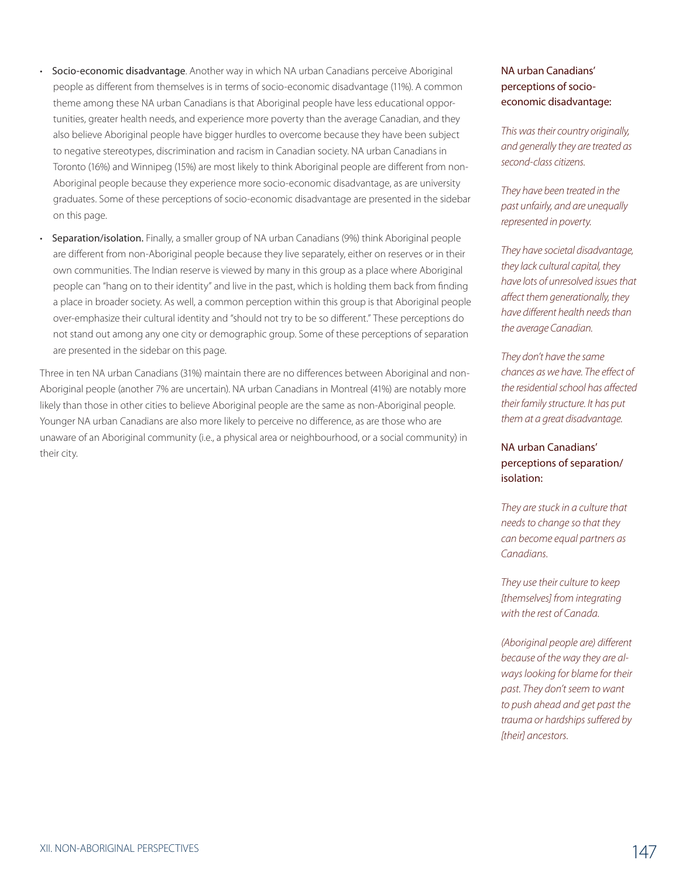- Socio-economic disadvantage. Another way in which NA urban Canadians perceive Aboriginal people as different from themselves is in terms of socio-economic disadvantage (11%). A common theme among these NA urban Canadians is that Aboriginal people have less educational opportunities, greater health needs, and experience more poverty than the average Canadian, and they also believe Aboriginal people have bigger hurdles to overcome because they have been subject to negative stereotypes, discrimination and racism in Canadian society. NA urban Canadians in Toronto (16%) and Winnipeg (15%) are most likely to think Aboriginal people are different from non-Aboriginal people because they experience more socio-economic disadvantage, as are university graduates. Some of these perceptions of socio-economic disadvantage are presented in the sidebar on this page.
- Separation/isolation. Finally, a smaller group of NA urban Canadians (9%) think Aboriginal people are different from non-Aboriginal people because they live separately, either on reserves or in their own communities. The Indian reserve is viewed by many in this group as a place where Aboriginal people can "hang on to their identity" and live in the past, which is holding them back from finding a place in broader society. As well, a common perception within this group is that Aboriginal people over-emphasize their cultural identity and "should not try to be so different." These perceptions do not stand out among any one city or demographic group. Some of these perceptions of separation are presented in the sidebar on this page.

Three in ten NA urban Canadians (31%) maintain there are no differences between Aboriginal and non-Aboriginal people (another 7% are uncertain). NA urban Canadians in Montreal (41%) are notably more likely than those in other cities to believe Aboriginal people are the same as non-Aboriginal people. Younger NA urban Canadians are also more likely to perceive no difference, as are those who are unaware of an Aboriginal community (i.e., a physical area or neighbourhood, or a social community) in their city.

#### NA urban Canadians' perceptions of socioeconomic disadvantage:

*This was their country originally, and generally they are treated as second-class citizens.*

*They have been treated in the past unfairly, and are unequally represented in poverty.* 

*They have societal disadvantage, they lack cultural capital, they have lots of unresolved issues that affect them generationally, they have different health needs than the average Canadian.*

*They don't have the same chances as we have. The effect of the residential school has affected their family structure. It has put them at a great disadvantage.*

### NA urban Canadians' perceptions of separation/ isolation:

*They are stuck in a culture that needs to change so that they can become equal partners as Canadians.*

*They use their culture to keep [themselves] from integrating with the rest of Canada.* 

*(Aboriginal people are) different because of the way they are always looking for blame for their past. They don't seem to want to push ahead and get past the trauma or hardships suffered by [their] ancestors.*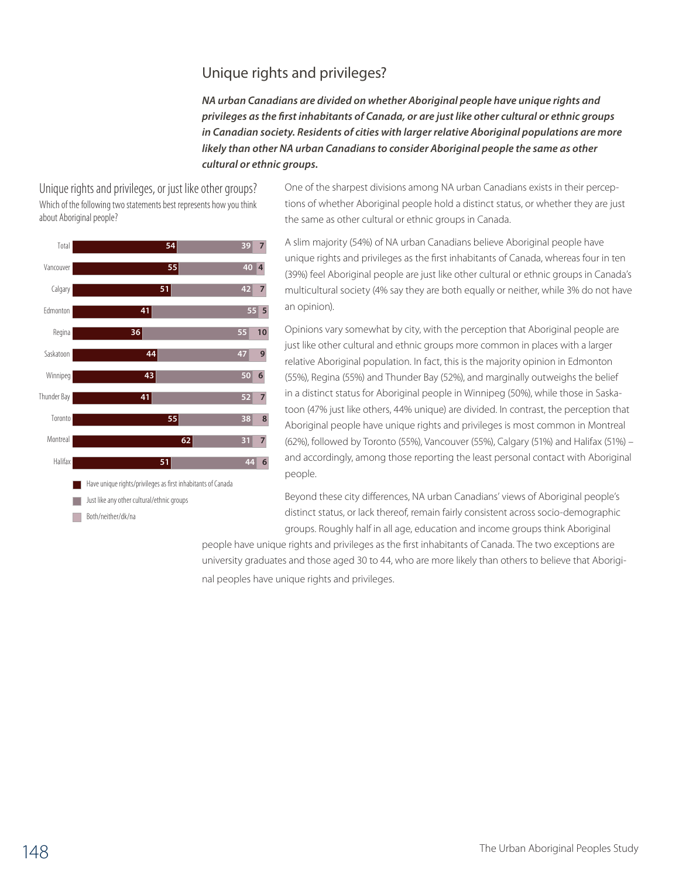# Unique rights and privileges?

*NA urban Canadians are divided on whether Aboriginal people have unique rights and privileges as the first inhabitants of Canada, or are just like other cultural or ethnic groups in Canadian society. Residents of cities with larger relative Aboriginal populations are more likely than other NA urban Canadians to consider Aboriginal people the same as other cultural or ethnic groups.*

Unique rights and privileges, or just like other groups? Which of the following two statements best represents how you think about Aboriginal people?



Both/neither/dk/na

One of the sharpest divisions among NA urban Canadians exists in their perceptions of whether Aboriginal people hold a distinct status, or whether they are just the same as other cultural or ethnic groups in Canada.

A slim majority (54%) of NA urban Canadians believe Aboriginal people have unique rights and privileges as the first inhabitants of Canada, whereas four in ten (39%) feel Aboriginal people are just like other cultural or ethnic groups in Canada's multicultural society (4% say they are both equally or neither, while 3% do not have an opinion).

Opinions vary somewhat by city, with the perception that Aboriginal people are just like other cultural and ethnic groups more common in places with a larger relative Aboriginal population. In fact, this is the majority opinion in Edmonton (55%), Regina (55%) and Thunder Bay (52%), and marginally outweighs the belief in a distinct status for Aboriginal people in Winnipeg (50%), while those in Saskatoon (47% just like others, 44% unique) are divided. In contrast, the perception that Aboriginal people have unique rights and privileges is most common in Montreal (62%), followed by Toronto (55%), Vancouver (55%), Calgary (51%) and Halifax (51%) – and accordingly, among those reporting the least personal contact with Aboriginal people.

Beyond these city differences, NA urban Canadians' views of Aboriginal people's distinct status, or lack thereof, remain fairly consistent across socio-demographic groups. Roughly half in all age, education and income groups think Aboriginal

people have unique rights and privileges as the first inhabitants of Canada. The two exceptions are university graduates and those aged 30 to 44, who are more likely than others to believe that Aboriginal peoples have unique rights and privileges.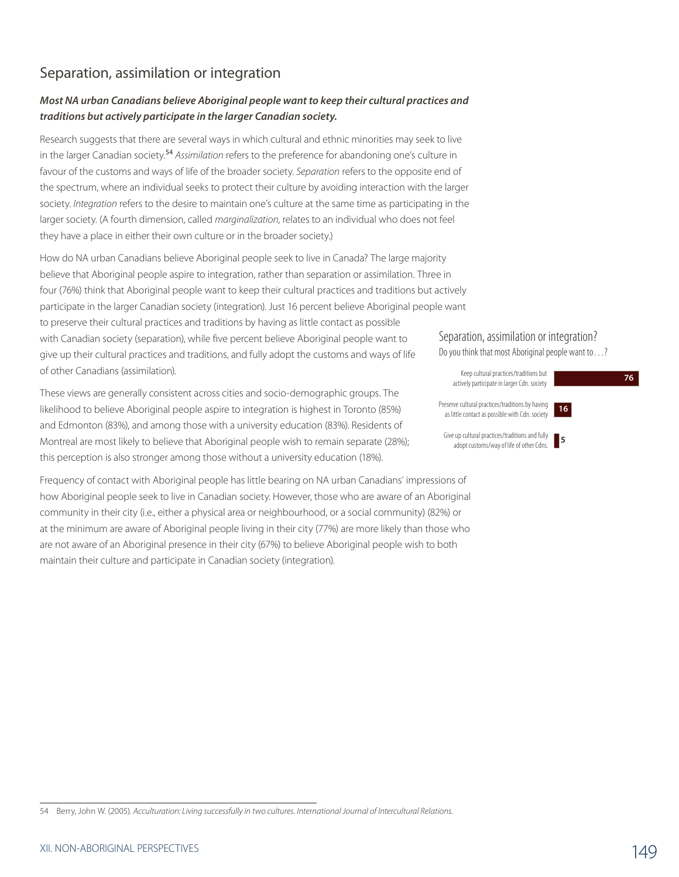# Separation, assimilation or integration

### *Most NA urban Canadians believe Aboriginal people want to keep their cultural practices and traditions but actively participate in the larger Canadian society.*

Research suggests that there are several ways in which cultural and ethnic minorities may seek to live in the larger Canadian society.<sup>54</sup> *Assimilation* refers to the preference for abandoning one's culture in favour of the customs and ways of life of the broader society. *Separation* refers to the opposite end of the spectrum, where an individual seeks to protect their culture by avoiding interaction with the larger society. *Integration* refers to the desire to maintain one's culture at the same time as participating in the larger society. (A fourth dimension, called *marginalization*, relates to an individual who does not feel they have a place in either their own culture or in the broader society.)

How do NA urban Canadians believe Aboriginal people seek to live in Canada? The large majority believe that Aboriginal people aspire to integration, rather than separation or assimilation. Three in four (76%) think that Aboriginal people want to keep their cultural practices and traditions but actively participate in the larger Canadian society (integration). Just 16 percent believe Aboriginal people want to preserve their cultural practices and traditions by having as little contact as possible with Canadian society (separation), while five percent believe Aboriginal people want to give up their cultural practices and traditions, and fully adopt the customs and ways of life of other Canadians (assimilation).

These views are generally consistent across cities and socio-demographic groups. The likelihood to believe Aboriginal people aspire to integration is highest in Toronto (85%) and Edmonton (83%), and among those with a university education (83%). Residents of Montreal are most likely to believe that Aboriginal people wish to remain separate (28%); this perception is also stronger among those without a university education (18%).

Frequency of contact with Aboriginal people has little bearing on NA urban Canadians' impressions of how Aboriginal people seek to live in Canadian society. However, those who are aware of an Aboriginal community in their city (i.e., either a physical area or neighbourhood, or a social community) (82%) or at the minimum are aware of Aboriginal people living in their city (77%) are more likely than those who are not aware of an Aboriginal presence in their city (67%) to believe Aboriginal people wish to both maintain their culture and participate in Canadian society (integration).

#### Separation, assimilation or integration?

Do you think that most Aboriginal people want to…?

Keep cultural practices/traditions but actively participate in larger Cdn. society **<sup>76</sup>**



Preserve cultural practices/traditions by having as little contact as possible with Cdn. society



Give up cultural practices/traditions and fully adopt customs/way of life of other Cdns.

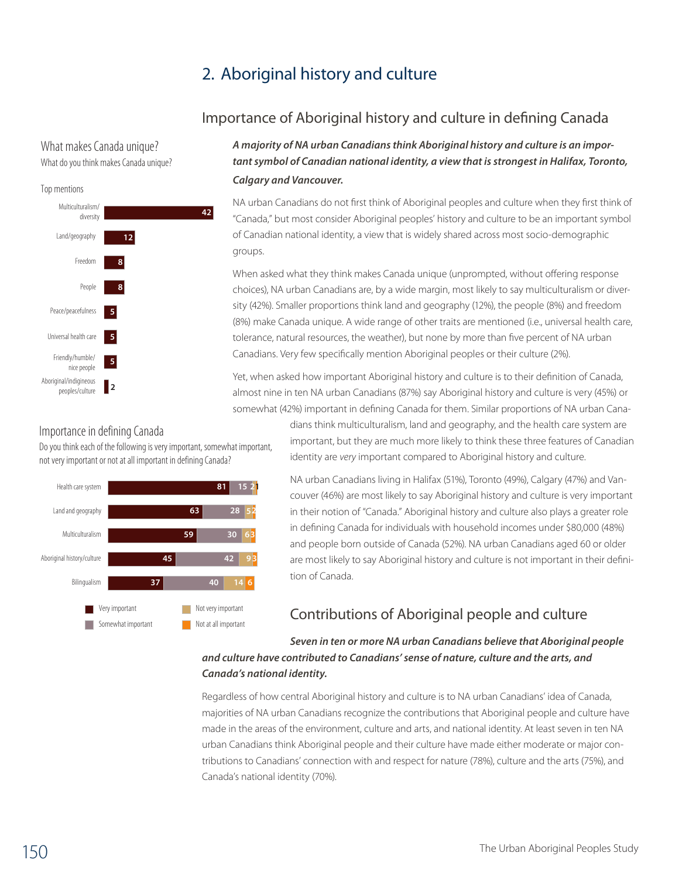# 2. Aboriginal history and culture

# Importance of Aboriginal history and culture in defining Canada

What makes Canada unique? What do you think makes Canada unique?



## Importance in defining Canada

Do you think each of the following is very important, somewhat important, not very important or not at all important in defining Canada?



*A majority of NA urban Canadians think Aboriginal history and culture is an important symbol of Canadian national identity, a view that is strongest in Halifax, Toronto, Calgary and Vancouver.* 

NA urban Canadians do not first think of Aboriginal peoples and culture when they first think of "Canada," but most consider Aboriginal peoples' history and culture to be an important symbol of Canadian national identity, a view that is widely shared across most socio-demographic groups.

When asked what they think makes Canada unique (unprompted, without offering response choices), NA urban Canadians are, by a wide margin, most likely to say multiculturalism or diversity (42%). Smaller proportions think land and geography (12%), the people (8%) and freedom (8%) make Canada unique. A wide range of other traits are mentioned (i.e., universal health care, tolerance, natural resources, the weather), but none by more than five percent of NA urban Canadians. Very few specifically mention Aboriginal peoples or their culture (2%).

Yet, when asked how important Aboriginal history and culture is to their definition of Canada, almost nine in ten NA urban Canadians (87%) say Aboriginal history and culture is very (45%) or somewhat (42%) important in defining Canada for them. Similar proportions of NA urban Cana-3

> dians think multiculturalism, land and geography, and the health care system are important, but they are much more likely to think these three features of Canadian identity are *very* important compared to Aboriginal history and culture.

> NA urban Canadians living in Halifax (51%), Toronto (49%), Calgary (47%) and Vancouver (46%) are most likely to say Aboriginal history and culture is very important in their notion of "Canada." Aboriginal history and culture also plays a greater role in defining Canada for individuals with household incomes under \$80,000 (48%) and people born outside of Canada (52%). NA urban Canadians aged 60 or older are most likely to say Aboriginal history and culture is not important in their definition of Canada.

# Contributions of Aboriginal people and culture

#### *Seven in ten or more NA urban Canadians believe that Aboriginal people and culture have contributed to Canadians' sense of nature, culture and the arts, and Canada's national identity.*

Regardless of how central Aboriginal history and culture is to NA urban Canadians' idea of Canada, majorities of NA urban Canadians recognize the contributions that Aboriginal people and culture have made in the areas of the environment, culture and arts, and national identity. At least seven in ten NA urban Canadians think Aboriginal people and their culture have made either moderate or major contributions to Canadians' connection with and respect for nature (78%), culture and the arts (75%), and Canada's national identity (70%).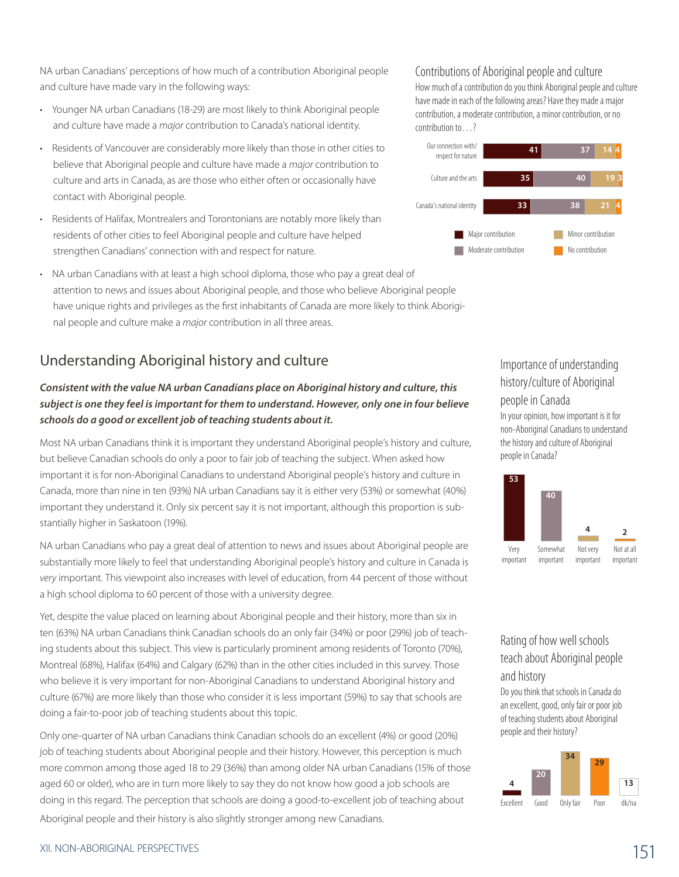NA urban Canadians' perceptions of how much of a contribution Aboriginal people and culture have made vary in the following ways:

- Younger NA urban Canadians (18-29) are most likely to think Aboriginal people and culture have made a *major* contribution to Canada's national identity.
- Residents of Vancouver are considerably more likely than those in other cities to believe that Aboriginal people and culture have made a *major* contribution to culture and arts in Canada, as are those who either often or occasionally have contact with Aboriginal people.
- Residents of Halifax, Montrealers and Torontonians are notably more likely than residents of other cities to feel Aboriginal people and culture have helped strengthen Canadians' connection with and respect for nature.
- NA urban Canadians with at least a high school diploma, those who pay a great deal of attention to news and issues about Aboriginal people, and those who believe Aboriginal people have unique rights and privileges as the first inhabitants of Canada are more likely to think Aboriginal people and culture make a *major* contribution in all three areas.

# Understanding Aboriginal history and culture

### *Consistent with the value NA urban Canadians place on Aboriginal history and culture, this subject is one they feel is important for them to understand. However, only one in four believe schools do a good or excellent job of teaching students about it.*

Most NA urban Canadians think it is important they understand Aboriginal people's history and culture, but believe Canadian schools do only a poor to fair job of teaching the subject. When asked how important it is for non-Aboriginal Canadians to understand Aboriginal people's history and culture in Canada, more than nine in ten (93%) NA urban Canadians say it is either very (53%) or somewhat (40%) important they understand it. Only six percent say it is not important, although this proportion is substantially higher in Saskatoon (19%).

NA urban Canadians who pay a great deal of attention to news and issues about Aboriginal people are substantially more likely to feel that understanding Aboriginal people's history and culture in Canada is *very* important. This viewpoint also increases with level of education, from 44 percent of those without a high school diploma to 60 percent of those with a university degree.

Yet, despite the value placed on learning about Aboriginal people and their history, more than six in ten (63%) NA urban Canadians think Canadian schools do an only fair (34%) or poor (29%) job of teaching students about this subject. This view is particularly prominent among residents of Toronto (70%), Montreal (68%), Halifax (64%) and Calgary (62%) than in the other cities included in this survey. Those who believe it is very important for non-Aboriginal Canadians to understand Aboriginal history and culture (67%) are more likely than those who consider it is less important (59%) to say that schools are doing a fair-to-poor job of teaching students about this topic.

Only one-quarter of NA urban Canadians think Canadian schools do an excellent (4%) or good (20%) job of teaching students about Aboriginal people and their history. However, this perception is much more common among those aged 18 to 29 (36%) than among older NA urban Canadians (15% of those aged 60 or older), who are in turn more likely to say they do not know how good a job schools are doing in this regard. The perception that schools are doing a good-to-excellent job of teaching about Aboriginal people and their history is also slightly stronger among new Canadians.

#### Contributions of Aboriginal people and culture

How much of a contribution do you think Aboriginal people and culture have made in each of the following areas? Have they made a major contribution, a moderate contribution, a minor contribution, or no contribution to…?



## Importance of understanding history/culture of Aboriginal people in Canada

In your opinion, how important is it for non-Aboriginal Canadians to understand the history and culture of Aboriginal people in Canada?



# Rating of how well schools teach about Aboriginal people

and history

Do you think that schools in Canada do an excellent, good, only fair or poor job of teaching students about Aboriginal people and their history?



## XII. NON-ABORIGINAL PERSPECTIVES 151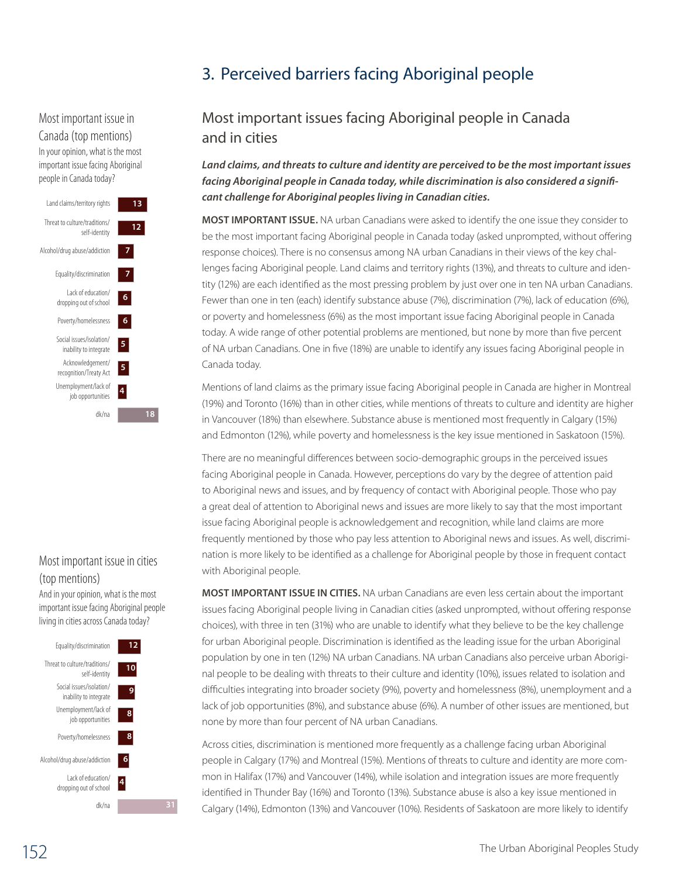# Most important issue in Canada (top mentions)

In your opinion, what is the most important issue facing Aboriginal people in Canada today?



## Most important issue in cities (top mentions)

And in your opinion, what is the most important issue facing Aboriginal people living in cities across Canada today?



# 3. Perceived barriers facing Aboriginal people

# Most important issues facing Aboriginal people in Canada 16 and in cities

*Land claims, and threats to culture and identity are perceived to be the most important issues facing Aboriginal people in Canada today, while discrimination is also considered a significant challenge for Aboriginal peoples living in Canadian cities.* 

**Most important issue.** NA urban Canadians were asked to identify the one issue they consider to be the most important facing Aboriginal people in Canada today (asked unprompted, without offering response choices). There is no consensus among NA urban Canadians in their views of the key challenges facing Aboriginal people. Land claims and territory rights (13%), and threats to culture and identity (12%) are each identified as the most pressing problem by just over one in ten NA urban Canadians. Fewer than one in ten (each) identify substance abuse (7%), discrimination (7%), lack of education (6%), or poverty and homelessness (6%) as the most important issue facing Aboriginal people in Canada today. A wide range of other potential problems are mentioned, but none by more than five percent of NA urban Canadians. One in five (18%) are unable to identify any issues facing Aboriginal people in Canada today.

Mentions of land claims as the primary issue facing Aboriginal people in Canada are higher in Montreal (19%) and Toronto (16%) than in other cities, while mentions of threats to culture and identity are higher in Vancouver (18%) than elsewhere. Substance abuse is mentioned most frequently in Calgary (15%) and Edmonton (12%), while poverty and homelessness is the key issue mentioned in Saskatoon (15%).

There are no meaningful differences between socio-demographic groups in the perceived issues facing Aboriginal people in Canada. However, perceptions do vary by the degree of attention paid to Aboriginal news and issues, and by frequency of contact with Aboriginal people. Those who pay a great deal of attention to Aboriginal news and issues are more likely to say that the most important issue facing Aboriginal people is acknowledgement and recognition, while land claims are more frequently mentioned by those who pay less attention to Aboriginal news and issues. As well, discrimi-17nation is more likely to be identified as a challenge for Aboriginal people by those in frequent contact with Aboriginal people.

**Most important issue in cities.** NA urban Canadians are even less certain about the important issues facing Aboriginal people living in Canadian cities (asked unprompted, without offering response choices), with three in ten (31%) who are unable to identify what they believe to be the key challenge for urban Aboriginal people. Discrimination is identified as the leading issue for the urban Aboriginal population by one in ten (12%) NA urban Canadians. NA urban Canadians also perceive urban Aboriginal people to be dealing with threats to their culture and identity (10%), issues related to isolation and difficulties integrating into broader society (9%), poverty and homelessness (8%), unemployment and a lack of job opportunities (8%), and substance abuse (6%). A number of other issues are mentioned, but none by more than four percent of NA urban Canadians.

Across cities, discrimination is mentioned more frequently as a challenge facing urban Aboriginal people in Calgary (17%) and Montreal (15%). Mentions of threats to culture and identity are more common in Halifax (17%) and Vancouver (14%), while isolation and integration issues are more frequently identified in Thunder Bay (16%) and Toronto (13%). Substance abuse is also a key issue mentioned in Calgary (14%), Edmonton (13%) and Vancouver (10%). Residents of Saskatoon are more likely to identify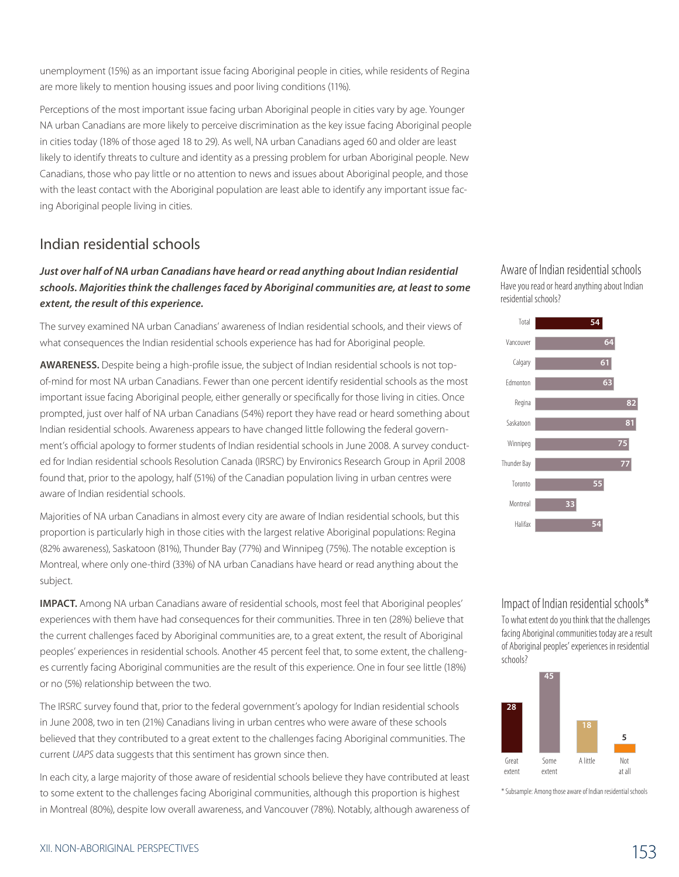unemployment (15%) as an important issue facing Aboriginal people in cities, while residents of Regina are more likely to mention housing issues and poor living conditions (11%).

Perceptions of the most important issue facing urban Aboriginal people in cities vary by age. Younger NA urban Canadians are more likely to perceive discrimination as the key issue facing Aboriginal people in cities today (18% of those aged 18 to 29). As well, NA urban Canadians aged 60 and older are least likely to identify threats to culture and identity as a pressing problem for urban Aboriginal people. New Canadians, those who pay little or no attention to news and issues about Aboriginal people, and those with the least contact with the Aboriginal population are least able to identify any important issue facing Aboriginal people living in cities.

## Indian residential schools

#### *Just over half of NA urban Canadians have heard or read anything about Indian residential schools. Majorities think the challenges faced by Aboriginal communities are, at least to some extent, the result of this experience.*

The survey examined NA urban Canadians' awareness of Indian residential schools, and their views of what consequences the Indian residential schools experience has had for Aboriginal people.

**Awareness.** Despite being a high-profile issue, the subject of Indian residential schools is not topof-mind for most NA urban Canadians. Fewer than one percent identify residential schools as the most important issue facing Aboriginal people, either generally or specifically for those living in cities. Once prompted, just over half of NA urban Canadians (54%) report they have read or heard something about Indian residential schools. Awareness appears to have changed little following the federal government's official apology to former students of Indian residential schools in June 2008. A survey conducted for Indian residential schools Resolution Canada (IRSRC) by Environics Research Group in April 2008 found that, prior to the apology, half (51%) of the Canadian population living in urban centres were aware of Indian residential schools.

Majorities of NA urban Canadians in almost every city are aware of Indian residential schools, but this proportion is particularly high in those cities with the largest relative Aboriginal populations: Regina (82% awareness), Saskatoon (81%), Thunder Bay (77%) and Winnipeg (75%). The notable exception is Montreal, where only one-third (33%) of NA urban Canadians have heard or read anything about the subject.

**Impact.** Among NA urban Canadians aware of residential schools, most feel that Aboriginal peoples' experiences with them have had consequences for their communities. Three in ten (28%) believe that the current challenges faced by Aboriginal communities are, to a great extent, the result of Aboriginal peoples' experiences in residential schools. Another 45 percent feel that, to some extent, the challenges currently facing Aboriginal communities are the result of this experience. One in four see little (18%) or no (5%) relationship between the two.

The IRSRC survey found that, prior to the federal government's apology for Indian residential schools in June 2008, two in ten (21%) Canadians living in urban centres who were aware of these schools believed that they contributed to a great extent to the challenges facing Aboriginal communities. The current *UAPS* data suggests that this sentiment has grown since then.

In each city, a large majority of those aware of residential schools believe they have contributed at least to some extent to the challenges facing Aboriginal communities, although this proportion is highest in Montreal (80%), despite low overall awareness, and Vancouver (78%). Notably, although awareness of Aware of Indian residential schools Have you read or heard anything about Indian residential schools?



Impact of Indian residential schools\* To what extent do you think that the challenges facing Aboriginal communities today are a result of Aboriginal peoples' experiences in residential schools?



\* Subsample: Among those aware of Indian residential schools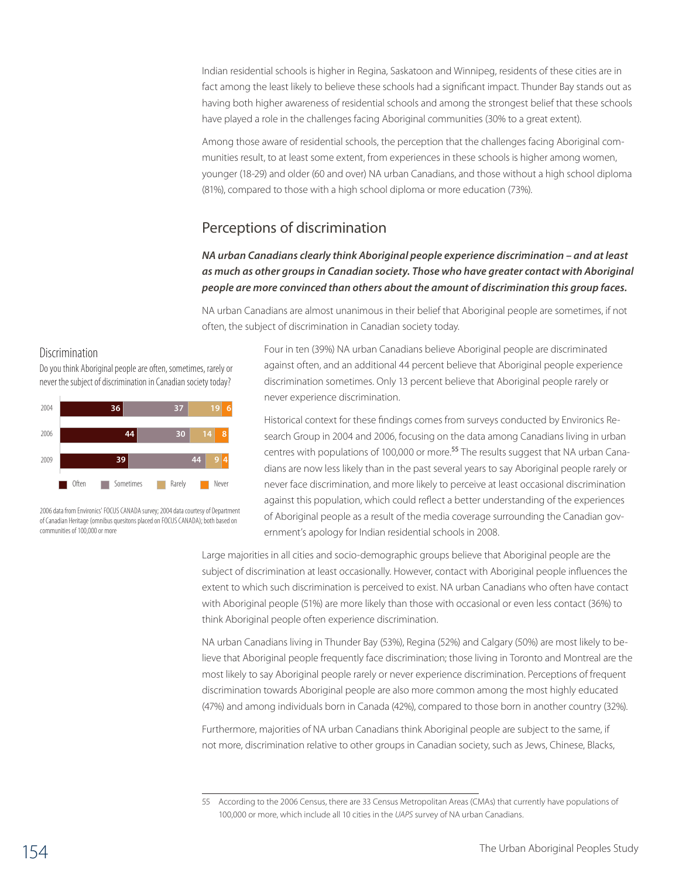Indian residential schools is higher in Regina, Saskatoon and Winnipeg, residents of these cities are in fact among the least likely to believe these schools had a significant impact. Thunder Bay stands out as having both higher awareness of residential schools and among the strongest belief that these schools have played a role in the challenges facing Aboriginal communities (30% to a great extent).

Among those aware of residential schools, the perception that the challenges facing Aboriginal communities result, to at least some extent, from experiences in these schools is higher among women, younger (18-29) and older (60 and over) NA urban Canadians, and those without a high school diploma (81%), compared to those with a high school diploma or more education (73%).

# Perceptions of discrimination

### *NA urban Canadians clearly think Aboriginal people experience discrimination – and at least as much as other groups in Canadian society. Those who have greater contact with Aboriginal people are more convinced than others about the amount of discrimination this group faces.*

NA urban Canadians are almost unanimous in their belief that Aboriginal people are sometimes, if not often, the subject of discrimination in Canadian society today.

#### Discrimination

Do you think Aboriginal people are often, sometimes, rarely or never the subject of discrimination in Canadian society today?



2006 data from Environics' FOCUS CANADA survey; 2004 data courtesy of Department of Canadian Heritage (omnibus quesitons placed on FOCUS CANADA); both based on communities of 100,000 or more

Four in ten (39%) NA urban Canadians believe Aboriginal people are discriminated against often, and an additional 44 percent believe that Aboriginal people experience discrimination sometimes. Only 13 percent believe that Aboriginal people rarely or never experience discrimination.

Historical context for these findings comes from surveys conducted by Environics Research Group in 2004 and 2006, focusing on the data among Canadians living in urban centres with populations of 100,000 or more.<sup>55</sup> The results suggest that NA urban Canadians are now less likely than in the past several years to say Aboriginal people rarely or never face discrimination, and more likely to perceive at least occasional discrimination against this population, which could reflect a better understanding of the experiences of Aboriginal people as a result of the media coverage surrounding the Canadian government's apology for Indian residential schools in 2008.

Large majorities in all cities and socio-demographic groups believe that Aboriginal people are the subject of discrimination at least occasionally. However, contact with Aboriginal people influences the extent to which such discrimination is perceived to exist. NA urban Canadians who often have contact with Aboriginal people (51%) are more likely than those with occasional or even less contact (36%) to think Aboriginal people often experience discrimination.

NA urban Canadians living in Thunder Bay (53%), Regina (52%) and Calgary (50%) are most likely to believe that Aboriginal people frequently face discrimination; those living in Toronto and Montreal are the most likely to say Aboriginal people rarely or never experience discrimination. Perceptions of frequent discrimination towards Aboriginal people are also more common among the most highly educated (47%) and among individuals born in Canada (42%), compared to those born in another country (32%).

Furthermore, majorities of NA urban Canadians think Aboriginal people are subject to the same, if not more, discrimination relative to other groups in Canadian society, such as Jews, Chinese, Blacks,

<sup>55</sup> According to the 2006 Census, there are 33 Census Metropolitan Areas (CMAs) that currently have populations of 100,000 or more, which include all 10 cities in the *UAPS* survey of NA urban Canadians.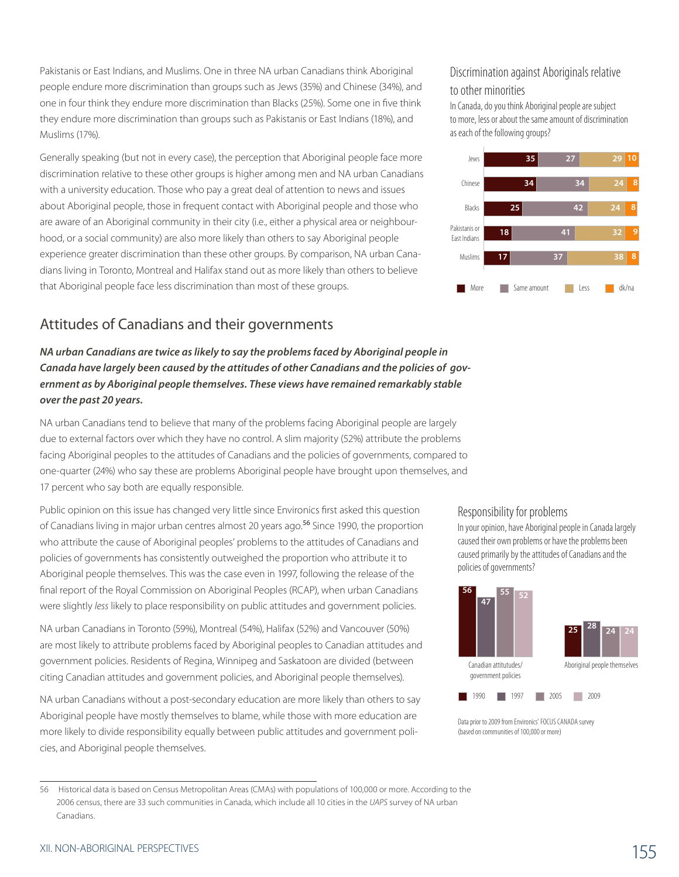Pakistanis or East Indians, and Muslims. One in three NA urban Canadians think Aboriginal people endure more discrimination than groups such as Jews (35%) and Chinese (34%), and one in four think they endure more discrimination than Blacks (25%). Some one in five think they endure more discrimination than groups such as Pakistanis or East Indians (18%), and Muslims (17%).

Generally speaking (but not in every case), the perception that Aboriginal people face more discrimination relative to these other groups is higher among men and NA urban Canadians with a university education. Those who pay a great deal of attention to news and issues about Aboriginal people, those in frequent contact with Aboriginal people and those who are aware of an Aboriginal community in their city (i.e., either a physical area or neighbourhood, or a social community) are also more likely than others to say Aboriginal people experience greater discrimination than these other groups. By comparison, NA urban Canadians living in Toronto, Montreal and Halifax stand out as more likely than others to believe that Aboriginal people face less discrimination than most of these groups.

# Attitudes of Canadians and their governments

### *NA urban Canadians are twice as likely to say the problems faced by Aboriginal people in Canada have largely been caused by the attitudes of other Canadians and the policies of government as by Aboriginal people themselves. These views have remained remarkably stable over the past 20 years.*

NA urban Canadians tend to believe that many of the problems facing Aboriginal people are largely due to external factors over which they have no control. A slim majority (52%) attribute the problems facing Aboriginal peoples to the attitudes of Canadians and the policies of governments, compared to one-quarter (24%) who say these are problems Aboriginal people have brought upon themselves, and 17 percent who say both are equally responsible.

Public opinion on this issue has changed very little since Environics first asked this question of Canadians living in major urban centres almost 20 years ago.<sup>56</sup> Since 1990, the proportion who attribute the cause of Aboriginal peoples' problems to the attitudes of Canadians and policies of governments has consistently outweighed the proportion who attribute it to Aboriginal people themselves. This was the case even in 1997, following the release of the final report of the Royal Commission on Aboriginal Peoples (RCAP), when urban Canadians were slightly *less* likely to place responsibility on public attitudes and government policies.

NA urban Canadians in Toronto (59%), Montreal (54%), Halifax (52%) and Vancouver (50%) are most likely to attribute problems faced by Aboriginal peoples to Canadian attitudes and government policies. Residents of Regina, Winnipeg and Saskatoon are divided (between citing Canadian attitudes and government policies, and Aboriginal people themselves).

NA urban Canadians without a post-secondary education are more likely than others to say Aboriginal people have mostly themselves to blame, while those with more education are more likely to divide responsibility equally between public attitudes and government policies, and Aboriginal people themselves.

#### Discrimination against Aboriginals relative to other minorities

In Canada, do you think Aboriginal people are subject to more, less or about the same amount of discrimination as each of the following groups?



#### Responsibility for problems

In your opinion, have Aboriginal people in Canada largely caused their own problems or have the problems been caused primarily by the attitudes of Canadians and the policies of governments?



Data prior to 2009 from Environics' FOCUS CANADA survey (based on communities of 100,000 or more)

Canadians.

<sup>56</sup> Historical data is based on Census Metropolitan Areas (CMAs) with populations of 100,000 or more. According to the 2006 census, there are 33 such communities in Canada, which include all 10 cities in the *UAPS* survey of NA urban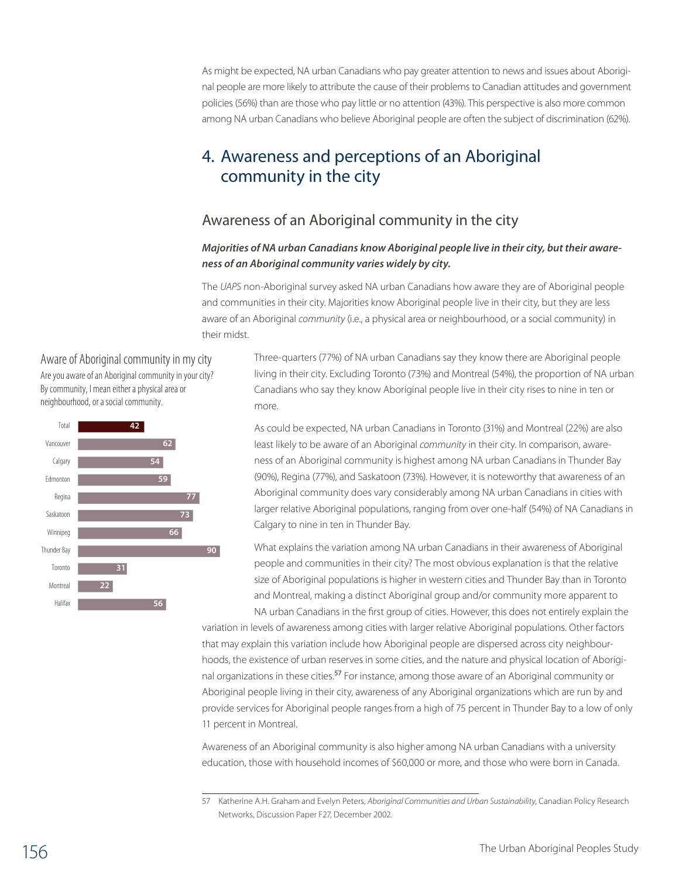As might be expected, NA urban Canadians who pay greater attention to news and issues about Aboriginal people are more likely to attribute the cause of their problems to Canadian attitudes and government policies (56%) than are those who pay little or no attention (43%). This perspective is also more common among NA urban Canadians who believe Aboriginal people are often the subject of discrimination (62%).

# 4. Awareness and perceptions of an Aboriginal community in the city

## Awareness of an Aboriginal community in the city

#### *Majorities of NA urban Canadians know Aboriginal people live in their city, but their awareness of an Aboriginal community varies widely by city.*

The *UAPS* non-Aboriginal survey asked NA urban Canadians how aware they are of Aboriginal people and communities in their city. Majorities know Aboriginal people live in their city, but they are less aware of an Aboriginal *community* (i.e., a physical area or neighbourhood, or a social community) in their midst.

Aware of Aboriginal community in my city Are you aware of an Aboriginal community in your city? By community, I mean either a physical area or neighbourhood, or a social community.



Three-quarters (77%) of NA urban Canadians say they know there are Aboriginal people living in their city. Excluding Toronto (73%) and Montreal (54%), the proportion of NA urban 33Canadians who say they know Aboriginal people live in their city rises to nine in ten or more.

As could be expected, NA urban Canadians in Toronto (31%) and Montreal (22%) are also least likely to be aware of an Aboriginal *community* in their city. In comparison, awareness of an Aboriginal community is highest among NA urban Canadians in Thunder Bay (90%), Regina (77%), and Saskatoon (73%). However, it is noteworthy that awareness of an Aboriginal community does vary considerably among NA urban Canadians in cities with larger relative Aboriginal populations, ranging from over one-half (54%) of NA Canadians in Calgary to nine in ten in Thunder Bay.

What explains the variation among NA urban Canadians in their awareness of Aboriginal people and communities in their city? The most obvious explanation is that the relative size of Aboriginal populations is higher in western cities and Thunder Bay than in Toronto and Montreal, making a distinct Aboriginal group and/or community more apparent to NA urban Canadians in the first group of cities. However, this does not entirely explain the

variation in levels of awareness among cities with larger relative Aboriginal populations. Other factors that may explain this variation include how Aboriginal people are dispersed across city neighbourhoods, the existence of urban reserves in some cities, and the nature and physical location of Aboriginal organizations in these cities.<sup>57</sup> For instance, among those aware of an Aboriginal community or Aboriginal people living in their city, awareness of any Aboriginal organizations which are run by and provide services for Aboriginal people ranges from a high of 75 percent in Thunder Bay to a low of only 11 percent in Montreal.

Awareness of an Aboriginal community is also higher among NA urban Canadians with a university education, those with household incomes of \$60,000 or more, and those who were born in Canada.

<sup>57</sup> Katherine A.H. Graham and Evelyn Peters, *Aboriginal Communities and Urban Sustainability*, Canadian Policy Research Networks, Discussion Paper F27, December 2002.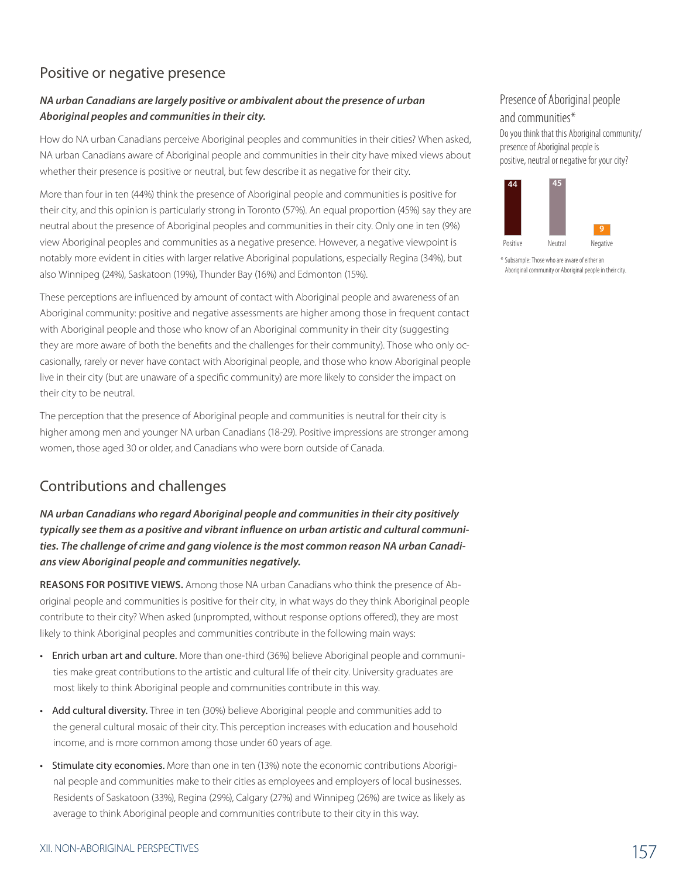# Positive or negative presence

### *NA urban Canadians are largely positive or ambivalent about the presence of urban Aboriginal peoples and communities in their city.*

How do NA urban Canadians perceive Aboriginal peoples and communities in their cities? When asked, NA urban Canadians aware of Aboriginal people and communities in their city have mixed views about whether their presence is positive or neutral, but few describe it as negative for their city.

More than four in ten (44%) think the presence of Aboriginal people and communities is positive for their city, and this opinion is particularly strong in Toronto (57%). An equal proportion (45%) say they are neutral about the presence of Aboriginal peoples and communities in their city. Only one in ten (9%) view Aboriginal peoples and communities as a negative presence. However, a negative viewpoint is notably more evident in cities with larger relative Aboriginal populations, especially Regina (34%), but also Winnipeg (24%), Saskatoon (19%), Thunder Bay (16%) and Edmonton (15%).

These perceptions are influenced by amount of contact with Aboriginal people and awareness of an Aboriginal community: positive and negative assessments are higher among those in frequent contact with Aboriginal people and those who know of an Aboriginal community in their city (suggesting they are more aware of both the benefits and the challenges for their community). Those who only occasionally, rarely or never have contact with Aboriginal people, and those who know Aboriginal people live in their city (but are unaware of a specific community) are more likely to consider the impact on their city to be neutral.

The perception that the presence of Aboriginal people and communities is neutral for their city is higher among men and younger NA urban Canadians (18-29). Positive impressions are stronger among women, those aged 30 or older, and Canadians who were born outside of Canada.

# Contributions and challenges

*NA urban Canadians who regard Aboriginal people and communities in their city positively typically see them as a positive and vibrant influence on urban artistic and cultural communities. The challenge of crime and gang violence is the most common reason NA urban Canadians view Aboriginal people and communities negatively.*

**Reasons for positive views.** Among those NA urban Canadians who think the presence of Aboriginal people and communities is positive for their city, in what ways do they think Aboriginal people contribute to their city? When asked (unprompted, without response options offered), they are most likely to think Aboriginal peoples and communities contribute in the following main ways:

- Enrich urban art and culture. More than one-third (36%) believe Aboriginal people and communities make great contributions to the artistic and cultural life of their city. University graduates are most likely to think Aboriginal people and communities contribute in this way.
- Add cultural diversity. Three in ten (30%) believe Aboriginal people and communities add to the general cultural mosaic of their city. This perception increases with education and household income, and is more common among those under 60 years of age.
- Stimulate city economies. More than one in ten (13%) note the economic contributions Aboriginal people and communities make to their cities as employees and employers of local businesses. Residents of Saskatoon (33%), Regina (29%), Calgary (27%) and Winnipeg (26%) are twice as likely as average to think Aboriginal people and communities contribute to their city in this way.

Do you think that this Aboriginal community/ presence of Aboriginal people is positive, neutral or negative for your city?



<sup>\*</sup> Subsample: Those who are aware of either an Aboriginal community or Aboriginal people in their city.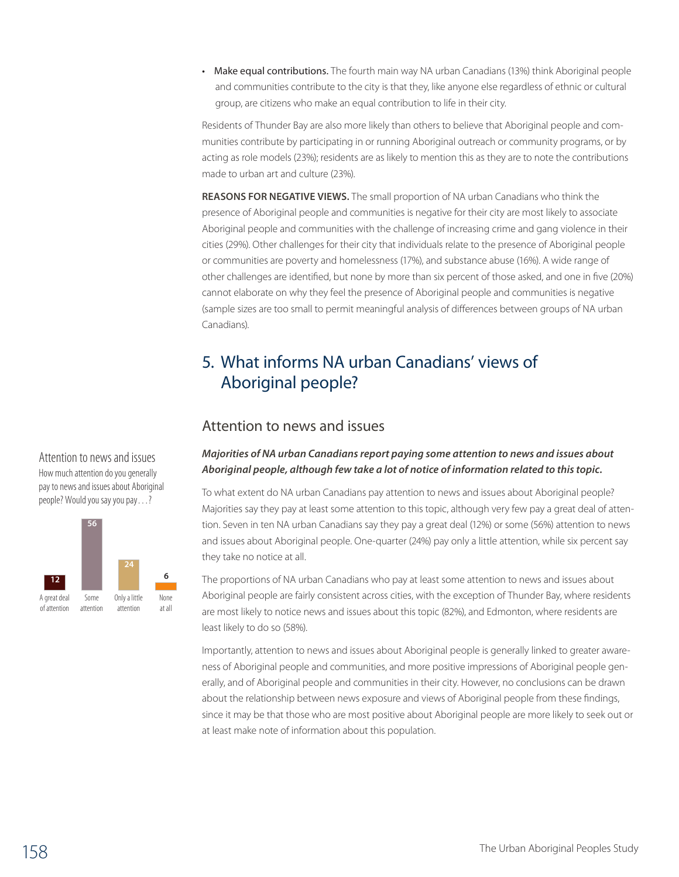• Make equal contributions. The fourth main way NA urban Canadians (13%) think Aboriginal people and communities contribute to the city is that they, like anyone else regardless of ethnic or cultural group, are citizens who make an equal contribution to life in their city.

Residents of Thunder Bay are also more likely than others to believe that Aboriginal people and communities contribute by participating in or running Aboriginal outreach or community programs, or by acting as role models (23%); residents are as likely to mention this as they are to note the contributions made to urban art and culture (23%).

**Reasons for negative views.** The small proportion of NA urban Canadians who think the presence of Aboriginal people and communities is negative for their city are most likely to associate Aboriginal people and communities with the challenge of increasing crime and gang violence in their cities (29%). Other challenges for their city that individuals relate to the presence of Aboriginal people or communities are poverty and homelessness (17%), and substance abuse (16%). A wide range of other challenges are identified, but none by more than six percent of those asked, and one in five (20%) cannot elaborate on why they feel the presence of Aboriginal people and communities is negative (sample sizes are too small to permit meaningful analysis of differences between groups of NA urban Canadians).

# 5. What informs NA urban Canadians' views of Aboriginal people?

### Attention to news and issues

#### *Majorities of NA urban Canadians report paying some attention to news and issues about*  Q.30 *Aboriginal people, although few take a lot of notice of information related to this topic.*

To what extent do NA urban Canadians pay attention to news and issues about Aboriginal people? Majorities say they pay at least some attention to this topic, although very few pay a great deal of attention. Seven in ten NA urban Canadians say they pay a great deal (12%) or some (56%) attention to news and issues about Aboriginal people. One-quarter (24%) pay only a little attention, while six percent say they take no notice at all.

The proportions of NA urban Canadians who pay at least some attention to news and issues about Aboriginal people are fairly consistent across cities, with the exception of Thunder Bay, where residents are most likely to notice news and issues about this topic (82%), and Edmonton, where residents are least likely to do so (58%).

Importantly, attention to news and issues about Aboriginal people is generally linked to greater awareness of Aboriginal people and communities, and more positive impressions of Aboriginal people generally, and of Aboriginal people and communities in their city. However, no conclusions can be drawn about the relationship between news exposure and views of Aboriginal people from these findings, since it may be that those who are most positive about Aboriginal people are more likely to seek out or at least make note of information about this population.

Attention to news and issues How much attention do you generally pay to news and issues about Aboriginal people? Would you say you pay…?

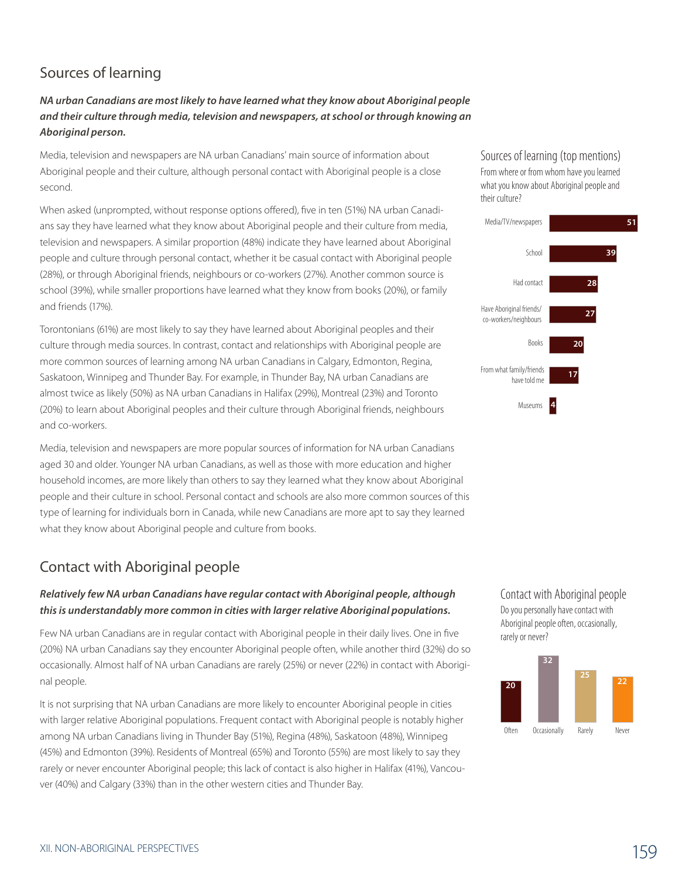# Sources of learning

*NA urban Canadians are most likely to have learned what they know about Aboriginal people and their culture through media, television and newspapers, at school or through knowing an Aboriginal person.*

Media, television and newspapers are NA urban Canadians' main source of information about Aboriginal people and their culture, although personal contact with Aboriginal people is a close second.

When asked (unprompted, without response options offered), five in ten (51%) NA urban Canadians say they have learned what they know about Aboriginal people and their culture from media, television and newspapers. A similar proportion (48%) indicate they have learned about Aboriginal people and culture through personal contact, whether it be casual contact with Aboriginal people (28%), or through Aboriginal friends, neighbours or co-workers (27%). Another common source is school (39%), while smaller proportions have learned what they know from books (20%), or family and friends (17%).

Torontonians (61%) are most likely to say they have learned about Aboriginal peoples and their culture through media sources. In contrast, contact and relationships with Aboriginal people are more common sources of learning among NA urban Canadians in Calgary, Edmonton, Regina, Saskatoon, Winnipeg and Thunder Bay. For example, in Thunder Bay, NA urban Canadians are almost twice as likely (50%) as NA urban Canadians in Halifax (29%), Montreal (23%) and Toronto (20%) to learn about Aboriginal peoples and their culture through Aboriginal friends, neighbours and co-workers.

Media, television and newspapers are more popular sources of information for NA urban Canadians aged 30 and older. Younger NA urban Canadians, as well as those with more education and higher household incomes, are more likely than others to say they learned what they know about Aboriginal people and their culture in school. Personal contact and schools are also more common sources of this type of learning for individuals born in Canada, while new Canadians are more apt to say they learned what they know about Aboriginal people and culture from books.

# Contact with Aboriginal people

#### *Relatively few NA urban Canadians have regular contact with Aboriginal people, although this is understandably more common in cities with larger relative Aboriginal populations.*

Few NA urban Canadians are in regular contact with Aboriginal people in their daily lives. One in five (20%) NA urban Canadians say they encounter Aboriginal people often, while another third (32%) do so occasionally. Almost half of NA urban Canadians are rarely (25%) or never (22%) in contact with Aboriginal people.

It is not surprising that NA urban Canadians are more likely to encounter Aboriginal people in cities with larger relative Aboriginal populations. Frequent contact with Aboriginal people is notably higher among NA urban Canadians living in Thunder Bay (51%), Regina (48%), Saskatoon (48%), Winnipeg (45%) and Edmonton (39%). Residents of Montreal (65%) and Toronto (55%) are most likely to say they rarely or never encounter Aboriginal people; this lack of contact is also higher in Halifax (41%), Vancouver (40%) and Calgary (33%) than in the other western cities and Thunder Bay.

Sources of learning (top mentions) From where or from whom have you learned what you know about Aboriginal people and their culture?



Contact with Aboriginal people Do you personally have contact with Aboriginal people often, occasionally, rarely or never?

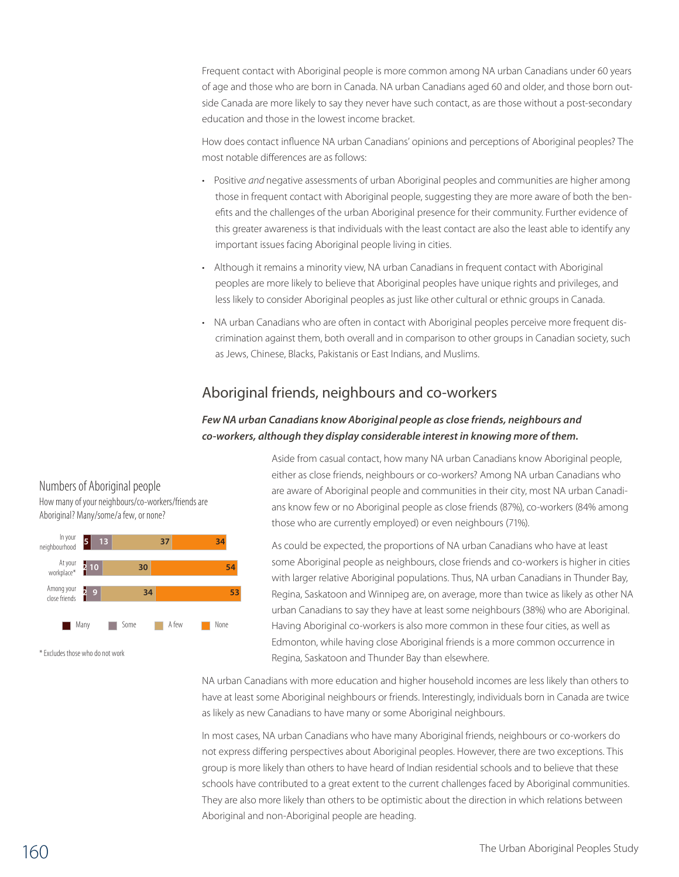Frequent contact with Aboriginal people is more common among NA urban Canadians under 60 years of age and those who are born in Canada. NA urban Canadians aged 60 and older, and those born outside Canada are more likely to say they never have such contact, as are those without a post-secondary education and those in the lowest income bracket.

How does contact influence NA urban Canadians' opinions and perceptions of Aboriginal peoples? The most notable differences are as follows:

- • Positive *and* negative assessments of urban Aboriginal peoples and communities are higher among those in frequent contact with Aboriginal people, suggesting they are more aware of both the benefits and the challenges of the urban Aboriginal presence for their community. Further evidence of this greater awareness is that individuals with the least contact are also the least able to identify any important issues facing Aboriginal people living in cities.
- Although it remains a minority view, NA urban Canadians in frequent contact with Aboriginal peoples are more likely to believe that Aboriginal peoples have unique rights and privileges, and less likely to consider Aboriginal peoples as just like other cultural or ethnic groups in Canada.
- • NA urban Canadians who are often in contact with Aboriginal peoples perceive more frequent discrimination against them, both overall and in comparison to other groups in Canadian society, such as Jews, Chinese, Blacks, Pakistanis or East Indians, and Muslims.

# Aboriginal friends, neighbours and co-workers

### *Few NA urban Canadians know Aboriginal people as close friends, neighbours and co-workers, although they display considerable interest in knowing more of them.*

Aside from casual contact, how many NA urban Canadians know Aboriginal people, 40 either as close friends, neighbours or co-workers? Among NA urban Canadians who are aware of Aboriginal people and communities in their city, most NA urban Canadians know few or no Aboriginal people as close friends (87%), co-workers (84% among those who are currently employed) or even neighbours (71%).

As could be expected, the proportions of NA urban Canadians who have at least some Aboriginal people as neighbours, close friends and co-workers is higher in cities with larger relative Aboriginal populations. Thus, NA urban Canadians in Thunder Bay, Regina, Saskatoon and Winnipeg are, on average, more than twice as likely as other NA urban Canadians to say they have at least some neighbours (38%) who are Aboriginal. Having Aboriginal co-workers is also more common in these four cities, as well as Edmonton, while having close Aboriginal friends is a more common occurrence in Regina, Saskatoon and Thunder Bay than elsewhere.

NA urban Canadians with more education and higher household incomes are less likely than others to have at least some Aboriginal neighbours or friends. Interestingly, individuals born in Canada are twice as likely as new Canadians to have many or some Aboriginal neighbours.

In most cases, NA urban Canadians who have many Aboriginal friends, neighbours or co-workers do not express differing perspectives about Aboriginal peoples. However, there are two exceptions. This group is more likely than others to have heard of Indian residential schools and to believe that these schools have contributed to a great extent to the current challenges faced by Aboriginal communities. They are also more likely than others to be optimistic about the direction in which relations between Aboriginal and non-Aboriginal people are heading.

# Numbers of Aboriginal people

How many of your neighbours/co-workers/friends are Aboriginal? Many/some/a few, or none?



\* Excludes those who do not work

### The Urban Aboriginal Peoples Study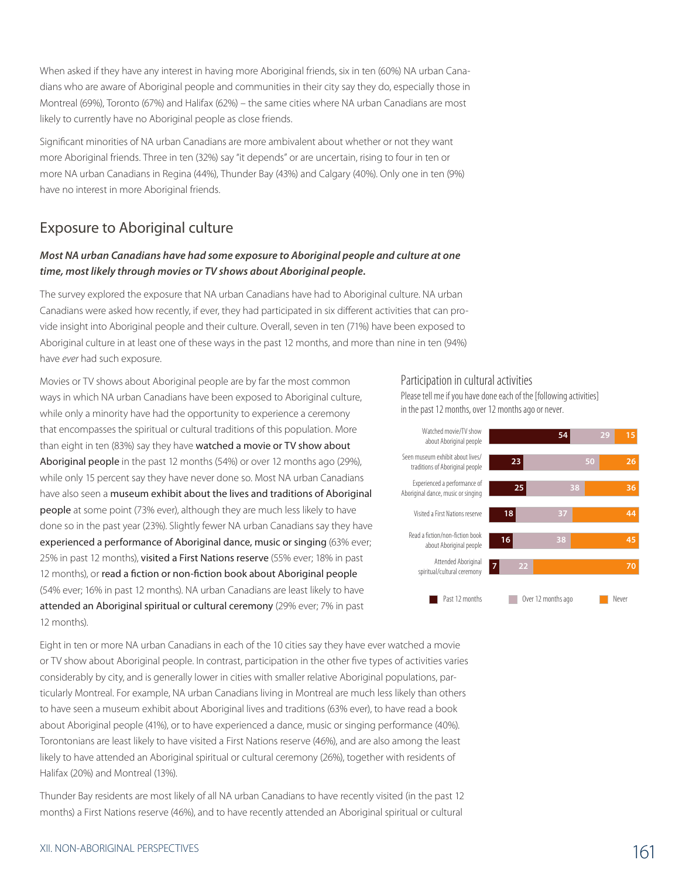When asked if they have any interest in having more Aboriginal friends, six in ten (60%) NA urban Canadians who are aware of Aboriginal people and communities in their city say they do, especially those in Montreal (69%), Toronto (67%) and Halifax (62%) – the same cities where NA urban Canadians are most likely to currently have no Aboriginal people as close friends.

Significant minorities of NA urban Canadians are more ambivalent about whether or not they want more Aboriginal friends. Three in ten (32%) say "it depends" or are uncertain, rising to four in ten or more NA urban Canadians in Regina (44%), Thunder Bay (43%) and Calgary (40%). Only one in ten (9%) have no interest in more Aboriginal friends.

## Exposure to Aboriginal culture

#### *Most NA urban Canadians have had some exposure to Aboriginal people and culture at one time, most likely through movies or TV shows about Aboriginal people.*

The survey explored the exposure that NA urban Canadians have had to Aboriginal culture. NA urban Canadians were asked how recently, if ever, they had participated in six different activities that can provide insight into Aboriginal people and their culture. Overall, seven in ten (71%) have been exposed to Aboriginal culture in at least one of these ways in the past 12 months, and more than nine in ten (94%) have *ever* had such exposure.

Movies or TV shows about Aboriginal people are by far the most common ways in which NA urban Canadians have been exposed to Aboriginal culture, while only a minority have had the opportunity to experience a ceremony that encompasses the spiritual or cultural traditions of this population. More than eight in ten (83%) say they have watched a movie or TV show about Aboriginal people in the past 12 months (54%) or over 12 months ago (29%), while only 15 percent say they have never done so. Most NA urban Canadians have also seen a museum exhibit about the lives and traditions of Aboriginal people at some point (73% ever), although they are much less likely to have done so in the past year (23%). Slightly fewer NA urban Canadians say they have experienced a performance of Aboriginal dance, music or singing (63% ever; 25% in past 12 months), visited a First Nations reserve (55% ever; 18% in past 12 months), or read a fiction or non-fiction book about Aboriginal people (54% ever; 16% in past 12 months). NA urban Canadians are least likely to have attended an Aboriginal spiritual or cultural ceremony (29% ever; 7% in past 12 months).

Eight in ten or more NA urban Canadians in each of the 10 cities say they have ever watched a movie or TV show about Aboriginal people. In contrast, participation in the other five types of activities varies considerably by city, and is generally lower in cities with smaller relative Aboriginal populations, particularly Montreal. For example, NA urban Canadians living in Montreal are much less likely than others to have seen a museum exhibit about Aboriginal lives and traditions (63% ever), to have read a book about Aboriginal people (41%), or to have experienced a dance, music or singing performance (40%). Torontonians are least likely to have visited a First Nations reserve (46%), and are also among the least likely to have attended an Aboriginal spiritual or cultural ceremony (26%), together with residents of Halifax (20%) and Montreal (13%).

Thunder Bay residents are most likely of all NA urban Canadians to have recently visited (in the past 12 months) a First Nations reserve (46%), and to have recently attended an Aboriginal spiritual or cultural

#### Participation in cultural activities

Attended Aboriginal spiritual/cultural ceremony Read a fiction/non-fiction book about Aboriginal people Visited a First Nations reserve Experienced a performance of Aboriginal dance, music or singing Seen museum exhibit about lives/ traditions of Aboriginal people Watched movie/TV show about Aboriginal people **<sup>54</sup> <sup>29</sup> <sup>15</sup> 23 50 26 25 38 36 18 37 44 16 38 45 7 22 70 Past 12 months COVER 12 months ago** Never

#### Please tell me if you have done each of the [following activities] in the past 12 months, over 12 months ago or never.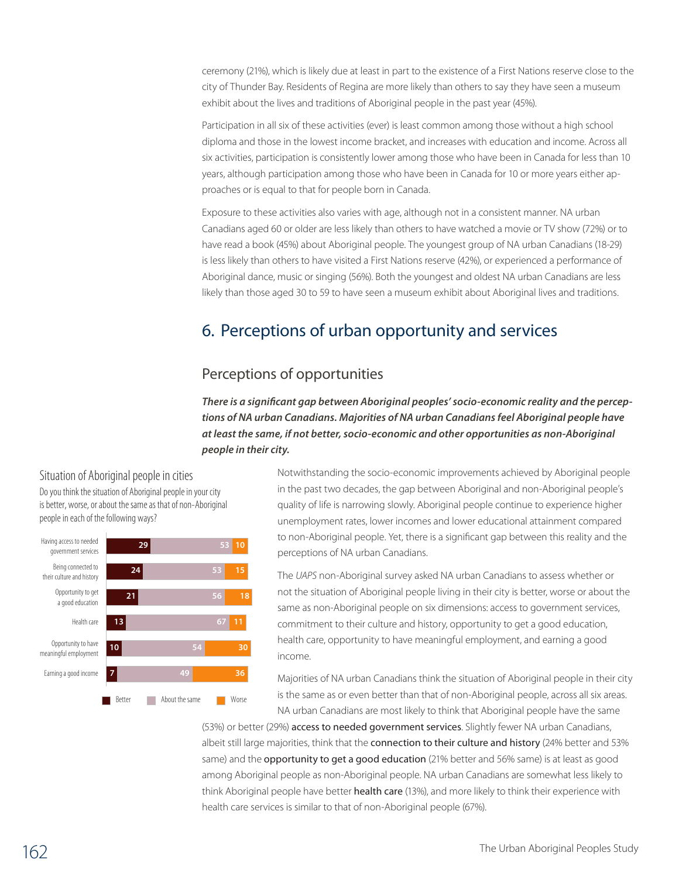ceremony (21%), which is likely due at least in part to the existence of a First Nations reserve close to the city of Thunder Bay. Residents of Regina are more likely than others to say they have seen a museum exhibit about the lives and traditions of Aboriginal people in the past year (45%).

Participation in all six of these activities (ever) is least common among those without a high school diploma and those in the lowest income bracket, and increases with education and income. Across all six activities, participation is consistently lower among those who have been in Canada for less than 10 years, although participation among those who have been in Canada for 10 or more years either approaches or is equal to that for people born in Canada.

Exposure to these activities also varies with age, although not in a consistent manner. NA urban Canadians aged 60 or older are less likely than others to have watched a movie or TV show (72%) or to have read a book (45%) about Aboriginal people. The youngest group of NA urban Canadians (18-29) is less likely than others to have visited a First Nations reserve (42%), or experienced a performance of Aboriginal dance, music or singing (56%). Both the youngest and oldest NA urban Canadians are less likely than those aged 30 to 59 to have seen a museum exhibit about Aboriginal lives and traditions.

# 6. Perceptions of urban opportunity and services

# Perceptions of opportunities

*There is a significant gap between Aboriginal peoples' socio-economic reality and the perceptions of NA urban Canadians. Majorities of NA urban Canadians feel Aboriginal people have at least the same, if not better, socio-economic and other opportunities as non-Aboriginal people in their city.* 



Situation of Aboriginal people in cities Do you think the situation of Aboriginal people in your city

Notwithstanding the socio-economic improvements achieved by Aboriginal people in the past two decades, the gap between Aboriginal and non-Aboriginal people's quality of life is narrowing slowly. Aboriginal people continue to experience higher unemployment rates, lower incomes and lower educational attainment compared to non-Aboriginal people. Yet, there is a significant gap between this reality and the perceptions of NA urban Canadians.

The *UAPS* non-Aboriginal survey asked NA urban Canadians to assess whether or not the situation of Aboriginal people living in their city is better, worse or about the same as non-Aboriginal people on six dimensions: access to government services, commitment to their culture and history, opportunity to get a good education, health care, opportunity to have meaningful employment, and earning a good income.

Majorities of NA urban Canadians think the situation of Aboriginal people in their city is the same as or even better than that of non-Aboriginal people, across all six areas. NA urban Canadians are most likely to think that Aboriginal people have the same

(53%) or better (29%) access to needed government services. Slightly fewer NA urban Canadians, albeit still large majorities, think that the connection to their culture and history (24% better and 53% same) and the **opportunity to get a good education** (21% better and 56% same) is at least as good among Aboriginal people as non-Aboriginal people. NA urban Canadians are somewhat less likely to think Aboriginal people have better health care (13%), and more likely to think their experience with health care services is similar to that of non-Aboriginal people (67%).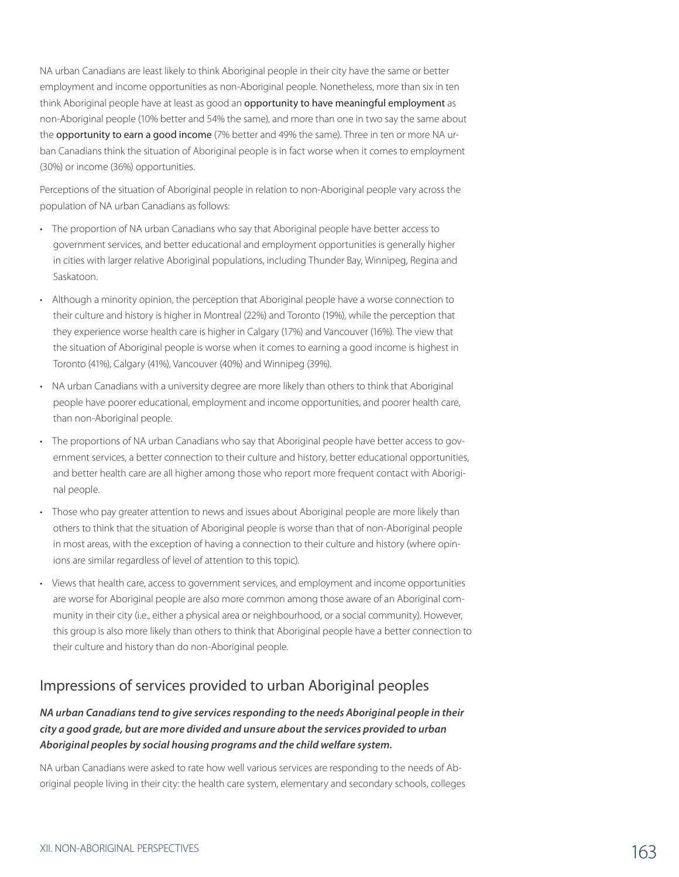NA urban Canadians are least likely to think Aboriginal people in their city have the same or better employment and income opportunities as non-Aboriginal people. Nonetheless, more than six in ten think Aboriginal people have at least as good an opportunity to have meaningful employment as non-Aboriginal people (10% better and 54% the same), and more than one in two say the same about the opportunity to earn a good income (7% better and 49% the same). Three in ten or more NA urban Canadians think the situation of Aboriginal people is in fact worse when it comes to employment (30%) or income (36%) opportunities.

Perceptions of the situation of Aboriginal people in relation to non-Aboriginal people vary across the population of NA urban Canadians as follows:

- The proportion of NA urban Canadians who say that Aboriginal people have better access to government services, and better educational and employment opportunities is generally higher in cities with larger relative Aboriginal populations, including Thunder Bay, Winnipeg, Regina and Saskatoon.
- • Although a minority opinion, the perception that Aboriginal people have a worse connection to their culture and history is higher in Montreal (22%) and Toronto (19%), while the perception that they experience worse health care is higher in Calgary (17%) and Vancouver (16%). The view that the situation of Aboriginal people is worse when it comes to earning a good income is highest in Toronto (41%), Calgary (41%), Vancouver (40%) and Winnipeg (39%).
- NA urban Canadians with a university degree are more likely than others to think that Aboriginal people have poorer educational, employment and income opportunities, and poorer health care, than non-Aboriginal people.
- The proportions of NA urban Canadians who say that Aboriginal people have better access to government services, a better connection to their culture and history, better educational opportunities, and better health care are all higher among those who report more frequent contact with Aboriginal people.
- Those who pay greater attention to news and issues about Aboriginal people are more likely than others to think that the situation of Aboriginal people is worse than that of non-Aboriginal people in most areas, with the exception of having a connection to their culture and history (where opinions are similar regardless of level of attention to this topic).
- • Views that health care, access to government services, and employment and income opportunities are worse for Aboriginal people are also more common among those aware of an Aboriginal community in their city (i.e., either a physical area or neighbourhood, or a social community). However, this group is also more likely than others to think that Aboriginal people have a better connection to their culture and history than do non-Aboriginal people.

# Impressions of services provided to urban Aboriginal peoples

### *NA urban Canadians tend to give services responding to the needs Aboriginal people in their city a good grade, but are more divided and unsure about the services provided to urban Aboriginal peoples by social housing programs and the child welfare system.*

NA urban Canadians were asked to rate how well various services are responding to the needs of Aboriginal people living in their city: the health care system, elementary and secondary schools, colleges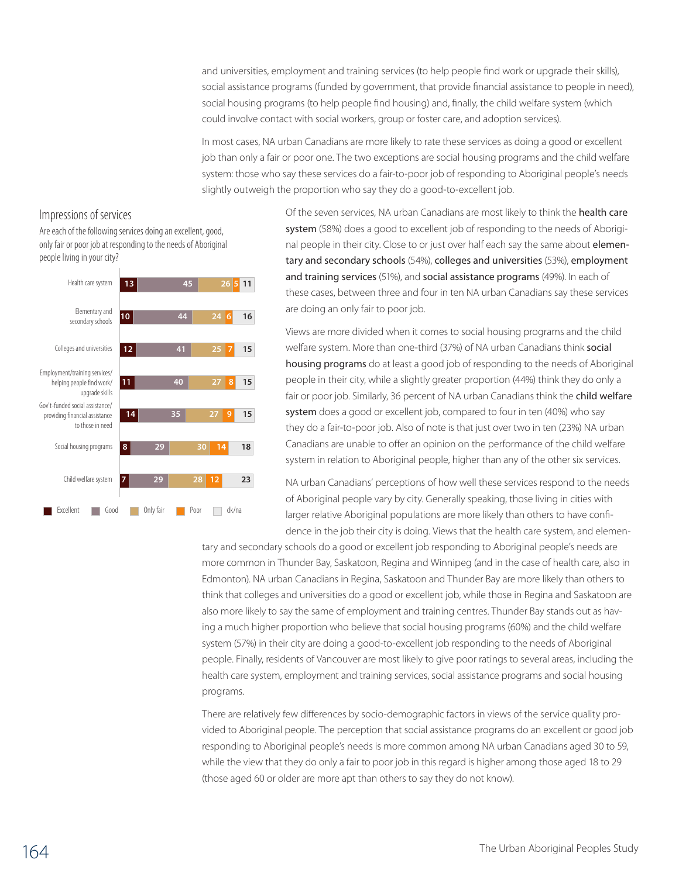and universities, employment and training services (to help people find work or upgrade their skills), social assistance programs (funded by government, that provide financial assistance to people in need), social housing programs (to help people find housing) and, finally, the child welfare system (which could involve contact with social workers, group or foster care, and adoption services).

In most cases, NA urban Canadians are more likely to rate these services as doing a good or excellent job than only a fair or poor one. The two exceptions are social housing programs and the child welfare system: those who say these services do a fair-to-poor job of responding to Aboriginal people's needs slightly outweigh the proportion who say they do a good-to-excellent job.

#### Impressions of services

Are each of the following services doing an excellent, good, only fair or poor job at responding to the needs of Aboriginal people living in your city?



Of the seven services, NA urban Canadians are most likely to think the health care system (58%) does a good to excellent job of responding to the needs of Aboriginal people in their city. Close to or just over half each say the same about elementary and secondary schools (54%), colleges and universities (53%), employment and training services (51%), and social assistance programs (49%). In each of these cases, between three and four in ten NA urban Canadians say these services are doing an only fair to poor job.

Views are more divided when it comes to social housing programs and the child welfare system. More than one-third (37%) of NA urban Canadians think social housing programs do at least a good job of responding to the needs of Aboriginal people in their city, while a slightly greater proportion (44%) think they do only a fair or poor job. Similarly, 36 percent of NA urban Canadians think the child welfare system does a good or excellent job, compared to four in ten (40%) who say they do a fair-to-poor job. Also of note is that just over two in ten (23%) NA urban Canadians are unable to offer an opinion on the performance of the child welfare system in relation to Aboriginal people, higher than any of the other six services.

NA urban Canadians' perceptions of how well these services respond to the needs of Aboriginal people vary by city. Generally speaking, those living in cities with larger relative Aboriginal populations are more likely than others to have confidence in the job their city is doing. Views that the health care system, and elemen-

tary and secondary schools do a good or excellent job responding to Aboriginal people's needs are more common in Thunder Bay, Saskatoon, Regina and Winnipeg (and in the case of health care, also in Edmonton). NA urban Canadians in Regina, Saskatoon and Thunder Bay are more likely than others to think that colleges and universities do a good or excellent job, while those in Regina and Saskatoon are also more likely to say the same of employment and training centres. Thunder Bay stands out as having a much higher proportion who believe that social housing programs (60%) and the child welfare system (57%) in their city are doing a good-to-excellent job responding to the needs of Aboriginal people. Finally, residents of Vancouver are most likely to give poor ratings to several areas, including the health care system, employment and training services, social assistance programs and social housing programs.

There are relatively few differences by socio-demographic factors in views of the service quality provided to Aboriginal people. The perception that social assistance programs do an excellent or good job responding to Aboriginal people's needs is more common among NA urban Canadians aged 30 to 59, while the view that they do only a fair to poor job in this regard is higher among those aged 18 to 29 (those aged 60 or older are more apt than others to say they do not know).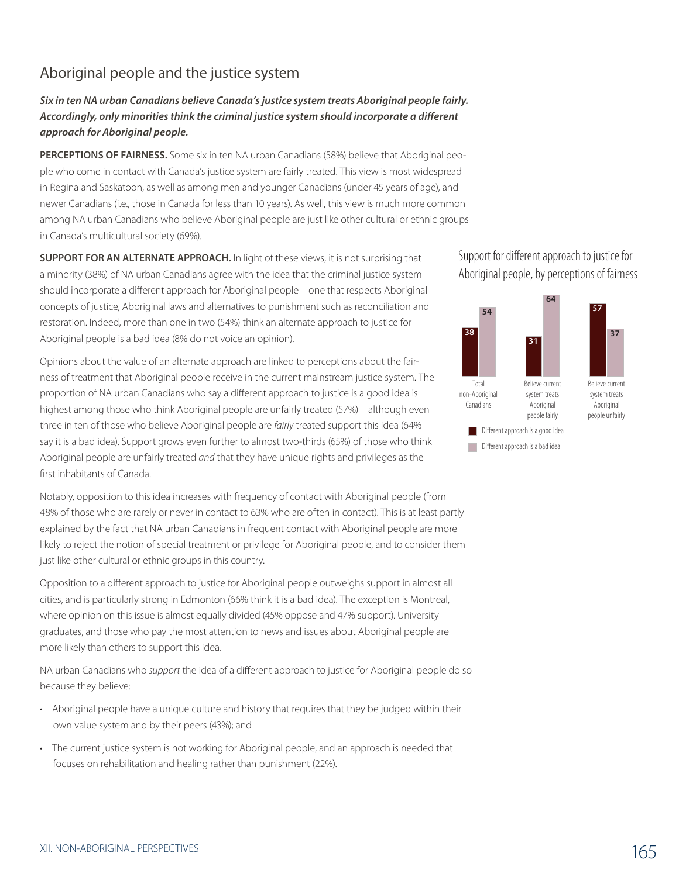# Aboriginal people and the justice system

*Six in ten NA urban Canadians believe Canada's justice system treats Aboriginal people fairly. Accordingly, only minorities think the criminal justice system should incorporate a different approach for Aboriginal people.*

**Perceptions of fairness.** Some six in ten NA urban Canadians (58%) believe that Aboriginal people who come in contact with Canada's justice system are fairly treated. This view is most widespread in Regina and Saskatoon, as well as among men and younger Canadians (under 45 years of age), and newer Canadians (i.e., those in Canada for less than 10 years). As well, this view is much more common among NA urban Canadians who believe Aboriginal people are just like other cultural or ethnic groups in Canada's multicultural society (69%).

**Support for an alternate approach.** In light of these views, it is not surprising that a minority (38%) of NA urban Canadians agree with the idea that the criminal justice system should incorporate a different approach for Aboriginal people – one that respects Aboriginal concepts of justice, Aboriginal laws and alternatives to punishment such as reconciliation and restoration. Indeed, more than one in two (54%) think an alternate approach to justice for Aboriginal people is a bad idea (8% do not voice an opinion).

Opinions about the value of an alternate approach are linked to perceptions about the fairness of treatment that Aboriginal people receive in the current mainstream justice system. The proportion of NA urban Canadians who say a different approach to justice is a good idea is highest among those who think Aboriginal people are unfairly treated (57%) – although even three in ten of those who believe Aboriginal people are *fairly* treated support this idea (64% say it is a bad idea). Support grows even further to almost two-thirds (65%) of those who think Aboriginal people are unfairly treated *and* that they have unique rights and privileges as the first inhabitants of Canada.

Notably, opposition to this idea increases with frequency of contact with Aboriginal people (from 48% of those who are rarely or never in contact to 63% who are often in contact). This is at least partly explained by the fact that NA urban Canadians in frequent contact with Aboriginal people are more likely to reject the notion of special treatment or privilege for Aboriginal people, and to consider them just like other cultural or ethnic groups in this country.

Opposition to a different approach to justice for Aboriginal people outweighs support in almost all cities, and is particularly strong in Edmonton (66% think it is a bad idea). The exception is Montreal, where opinion on this issue is almost equally divided (45% oppose and 47% support). University graduates, and those who pay the most attention to news and issues about Aboriginal people are more likely than others to support this idea.

NA urban Canadians who *support* the idea of a different approach to justice for Aboriginal people do so because they believe:

- • Aboriginal people have a unique culture and history that requires that they be judged within their own value system and by their peers (43%); and
- The current justice system is not working for Aboriginal people, and an approach is needed that focuses on rehabilitation and healing rather than punishment (22%).

Support for different approach to justice for Aboriginal people, by perceptions of fairness

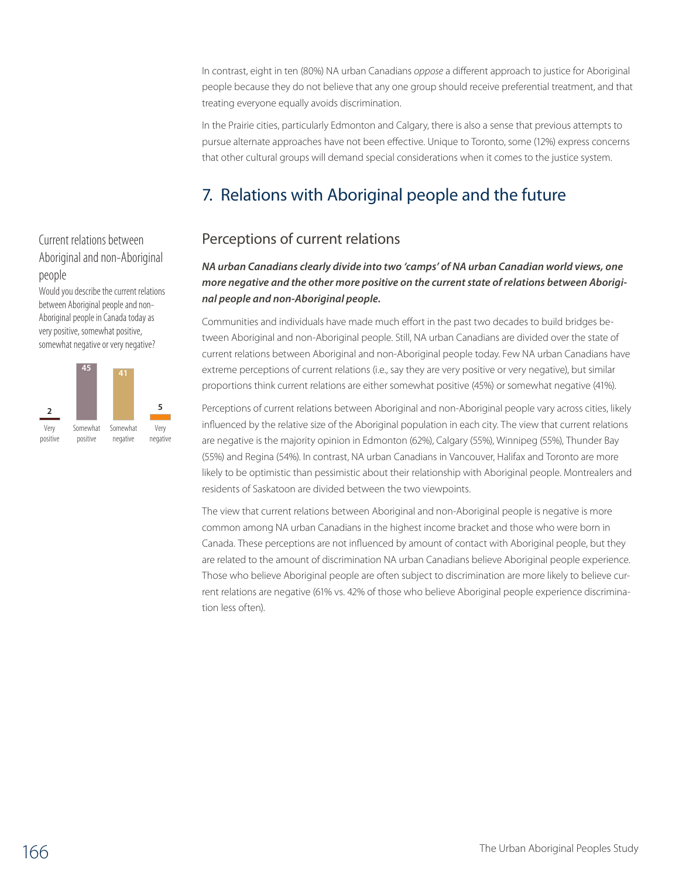In contrast, eight in ten (80%) NA urban Canadians *oppose* a different approach to justice for Aboriginal people because they do not believe that any one group should receive preferential treatment, and that treating everyone equally avoids discrimination.

In the Prairie cities, particularly Edmonton and Calgary, there is also a sense that previous attempts to pursue alternate approaches have not been effective. Unique to Toronto, some (12%) express concerns that other cultural groups will demand special considerations when it comes to the justice system.

# 7. Relations with Aboriginal people and the future

# Perceptions of current relations

# Current relations between Aboriginal and non-Aboriginal people

Would you describe the current relations between Aboriginal people and non-Aboriginal people in Canada today as very positive, somewhat positive, somewhat negative or very negative?



#### *NA urban Canadians clearly divide into two 'camps' of NA urban Canadian world views, one more negative and the other more positive on the current state of relations between Aboriginal people and non-Aboriginal people.*

Communities and individuals have made much effort in the past two decades to build bridges between Aboriginal and non-Aboriginal people. Still, NA urban Canadians are divided over the state of current relations between Aboriginal and non-Aboriginal people today. Few NA urban Canadians have extreme perceptions of current relations (i.e., say they are very positive or very negative), but similar proportions think current relations are either somewhat positive (45%) or somewhat negative (41%).

Perceptions of current relations between Aboriginal and non-Aboriginal people vary across cities, likely influenced by the relative size of the Aboriginal population in each city. The view that current relations are negative is the majority opinion in Edmonton (62%), Calgary (55%), Winnipeg (55%), Thunder Bay (55%) and Regina (54%). In contrast, NA urban Canadians in Vancouver, Halifax and Toronto are more likely to be optimistic than pessimistic about their relationship with Aboriginal people. Montrealers and residents of Saskatoon are divided between the two viewpoints.

The view that current relations between Aboriginal and non-Aboriginal people is negative is more common among NA urban Canadians in the highest income bracket and those who were born in Canada. These perceptions are not influenced by amount of contact with Aboriginal people, but they are related to the amount of discrimination NA urban Canadians believe Aboriginal people experience. Those who believe Aboriginal people are often subject to discrimination are more likely to believe current relations are negative (61% vs. 42% of those who believe Aboriginal people experience discrimination less often).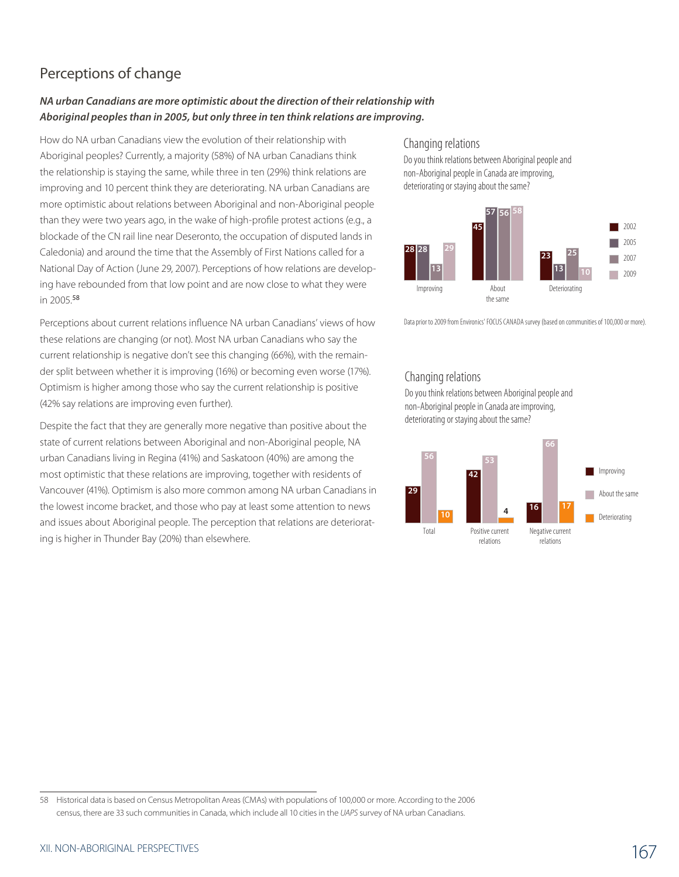# Perceptions of change

#### *NA urban Canadians are more optimistic about the direction of their relationship with Aboriginal peoples than in 2005, but only three in ten think relations are improving.*

How do NA urban Canadians view the evolution of their relationship with Aboriginal peoples? Currently, a majority (58%) of NA urban Canadians think the relationship is staying the same, while three in ten (29%) think relations are improving and 10 percent think they are deteriorating. NA urban Canadians are more optimistic about relations between Aboriginal and non-Aboriginal people than they were two years ago, in the wake of high-profile protest actions (e.g., a blockade of the CN rail line near Deseronto, the occupation of disputed lands in Caledonia) and around the time that the Assembly of First Nations called for a National Day of Action (June 29, 2007). Perceptions of how relations are developing have rebounded from that low point and are now close to what they were in 2005.<sup>58</sup>

Perceptions about current relations influence NA urban Canadians' views of how these relations are changing (or not). Most NA urban Canadians who say the current relationship is negative don't see this changing (66%), with the remainder split between whether it is improving (16%) or becoming even worse (17%). Optimism is higher among those who say the current relationship is positive (42% say relations are improving even further).

Despite the fact that they are generally more negative than positive about the state of current relations between Aboriginal and non-Aboriginal people, NA urban Canadians living in Regina (41%) and Saskatoon (40%) are among the most optimistic that these relations are improving, together with residents of Vancouver (41%). Optimism is also more common among NA urban Canadians in the lowest income bracket, and those who pay at least some attention to news and issues about Aboriginal people. The perception that relations are deteriorating is higher in Thunder Bay (20%) than elsewhere.

#### Changing relations

Do you think relations between Aboriginal people and non-Aboriginal people in Canada are improving, deteriorating or staying about the same?



Data prior to 2009 from Environics' FOCUS CANADA survey (based on communities of 100,000 or more).

#### Changing relations

Do you think relations between Aboriginal people and non-Aboriginal people in Canada are improving, deteriorating or staying about the same?



<sup>58</sup> Historical data is based on Census Metropolitan Areas (CMAs) with populations of 100,000 or more. According to the 2006 census, there are 33 such communities in Canada, which include all 10 cities in the *UAPS* survey of NA urban Canadians.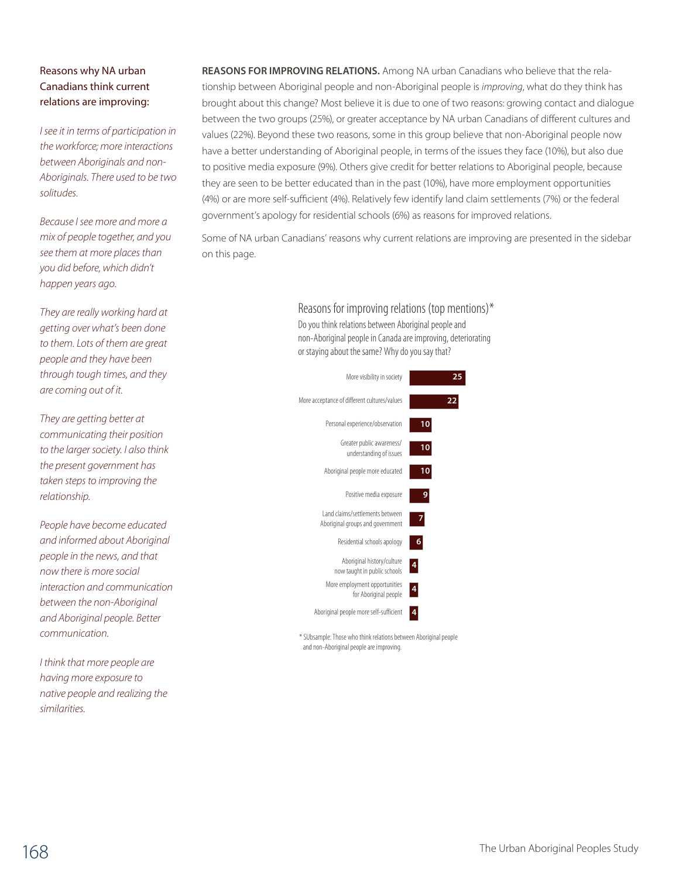#### Reasons why NA urban Canadians think current relations are improving:

*I see it in terms of participation in the workforce; more interactions between Aboriginals and non-Aboriginals. There used to be two solitudes.*

*Because I see more and more a mix of people together, and you see them at more places than you did before, which didn't happen years ago.*

*They are really working hard at getting over what's been done to them. Lots of them are great people and they have been through tough times, and they are coming out of it.*

*They are getting better at communicating their position to the larger society. I also think the present government has taken steps to improving the relationship.*

*People have become educated and informed about Aboriginal people in the news, and that now there is more social interaction and communication between the non-Aboriginal and Aboriginal people. Better communication.*

*I think that more people are having more exposure to native people and realizing the similarities.*

**Reasons for improving relations.** Among NA urban Canadians who believe that the relationship between Aboriginal people and non-Aboriginal people is *improving*, what do they think has brought about this change? Most believe it is due to one of two reasons: growing contact and dialogue between the two groups (25%), or greater acceptance by NA urban Canadians of different cultures and values (22%). Beyond these two reasons, some in this group believe that non-Aboriginal people now have a better understanding of Aboriginal people, in terms of the issues they face (10%), but also due to positive media exposure (9%). Others give credit for better relations to Aboriginal people, because they are seen to be better educated than in the past (10%), have more employment opportunities (4%) or are more self-sufficient (4%). Relatively few identify land claim settlements (7%) or the federal government's apology for residential schools (6%) as reasons for improved relations.

Some of NA urban Canadians' reasons why current relations are improving are presented in the sidebar on this page.

> Reasons for improving relations (top mentions)\* Do you think relations between Aboriginal people and non-Aboriginal people in Canada are improving, deteriorating or staying about the same? Why do you say that?



\* SUbsample: Those who think relations between Aboriginal people and non-Aboriginal people are improving.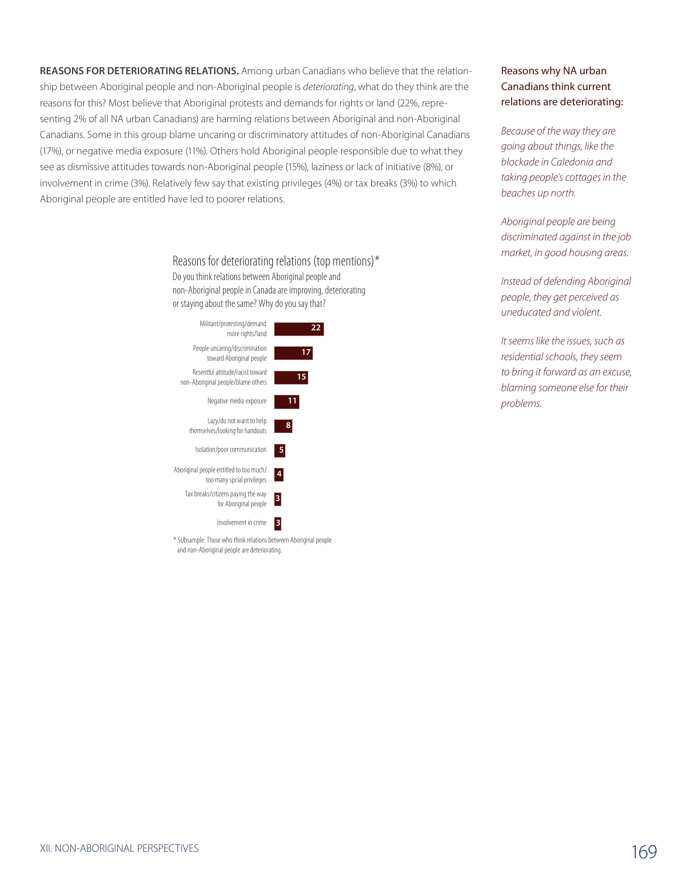**Reasons for deteriorating relations.** Among urban Canadians who believe that the relationship between Aboriginal people and non-Aboriginal people is *deteriorating*, what do they think are the reasons for this? Most believe that Aboriginal protests and demands for rights or land (22%, representing 2% of all NA urban Canadians) are harming relations between Aboriginal and non-Aboriginal Canadians. Some in this group blame uncaring or discriminatory attitudes of non-Aboriginal Canadians (17%), or negative media exposure (11%). Others hold Aboriginal people responsible due to what they see as dismissive attitudes towards non-Aboriginal people (15%), laziness or lack of initiative (8%), or involvement in crime (3%). Relatively few say that existing privileges (4%) or tax breaks (3%) to which Aboriginal people are entitled have led to poorer relations.

> Reasons for deteriorating relations (top mentions)\* Do you think relations between Aboriginal people and non-Aboriginal people in Canada are improving, deteriorating or staying about the same? Why do you say that?



\* SUbsample: Those who think relations between Aboriginal people and non-Aboriginal people are deteriorating.

#### Reasons why NA urban Canadians think current relations are deteriorating:

*Because of the way they are going about things, like the blockade in Caledonia and taking people's cottages in the beaches up north.*

*Aboriginal people are being discriminated against in the job market, in good housing areas.* 

*Instead of defending Aboriginal people, they get perceived as uneducated and violent.*

*It seems like the issues, such as residential schools, they seem to bring it forward as an excuse, blaming someone else for their problems.*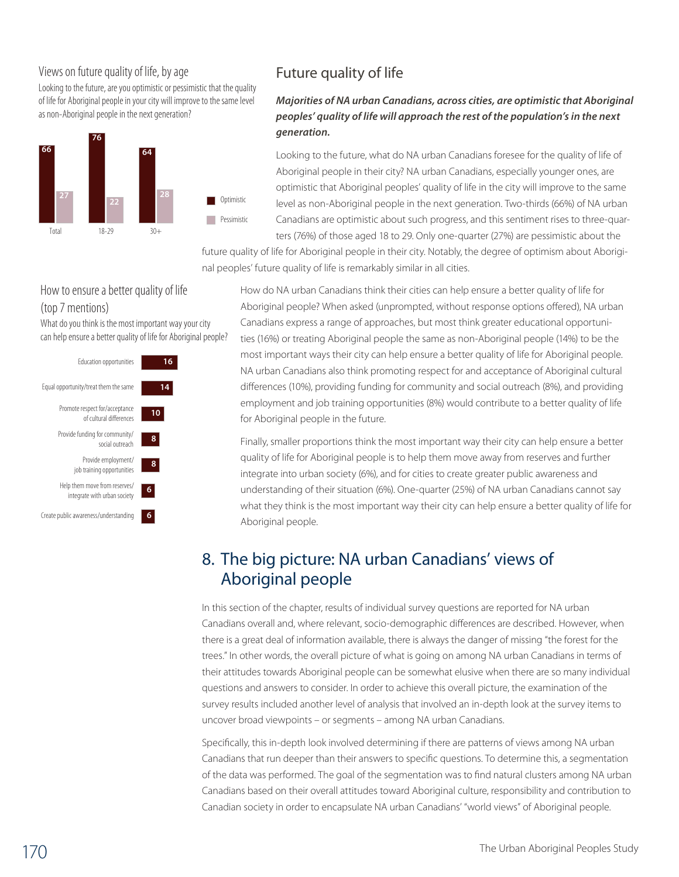## Views on future quality of life, by age

Looking to the future, are you optimistic or pessimistic that the quality of life for Aboriginal people in your city will improve to the same level as non-Aboriginal people in the next generation?



# Future quality of life

### *Majorities of NA urban Canadians, across cities, are optimistic that Aboriginal peoples' quality of life will approach the rest of the population's in the next generation.*

Looking to the future, what do NA urban Canadians foresee for the quality of life of Aboriginal people in their city? NA urban Canadians, especially younger ones, are optimistic that Aboriginal peoples' quality of life in the city will improve to the same level as non-Aboriginal people in the next generation. Two-thirds (66%) of NA urban Canadians are optimistic about such progress, and this sentiment rises to three-quarters (76%) of those aged 18 to 29. Only one-quarter (27%) are pessimistic about the

future quality of life for Aboriginal people in their city. Notably, the degree of optimism about Aboriginal peoples' future quality of life is remarkably similar in all cities.

#### How to ensure a better quality of life (top 7 mentions)

What do you think is the most important way your city can help ensure a better quality of life for Aboriginal people?



How do NA urban Canadians think their cities can help ensure a better quality of life for Aboriginal people? When asked (unprompted, without response options offered), NA urban Canadians express a range of approaches, but most think greater educational opportunities (16%) or treating Aboriginal people the same as non-Aboriginal people (14%) to be the most important ways their city can help ensure a better quality of life for Aboriginal people. NA urban Canadians also think promoting respect for and acceptance of Aboriginal cultural differences (10%), providing funding for community and social outreach (8%), and providing employment and job training opportunities (8%) would contribute to a better quality of life for Aboriginal people in the future.

Finally, smaller proportions think the most important way their city can help ensure a better quality of life for Aboriginal people is to help them move away from reserves and further integrate into urban society (6%), and for cities to create greater public awareness and understanding of their situation (6%). One-quarter (25%) of NA urban Canadians cannot say what they think is the most important way their city can help ensure a better quality of life for Aboriginal people.

# 8. The big picture: NA urban Canadians' views of Aboriginal people

In this section of the chapter, results of individual survey questions are reported for NA urban Canadians overall and, where relevant, socio-demographic differences are described. However, when there is a great deal of information available, there is always the danger of missing "the forest for the trees." In other words, the overall picture of what is going on among NA urban Canadians in terms of their attitudes towards Aboriginal people can be somewhat elusive when there are so many individual questions and answers to consider. In order to achieve this overall picture, the examination of the survey results included another level of analysis that involved an in-depth look at the survey items to uncover broad viewpoints – or segments – among NA urban Canadians.

Specifically, this in-depth look involved determining if there are patterns of views among NA urban Canadians that run deeper than their answers to specific questions. To determine this, a segmentation of the data was performed. The goal of the segmentation was to find natural clusters among NA urban Canadians based on their overall attitudes toward Aboriginal culture, responsibility and contribution to Canadian society in order to encapsulate NA urban Canadians' "world views" of Aboriginal people.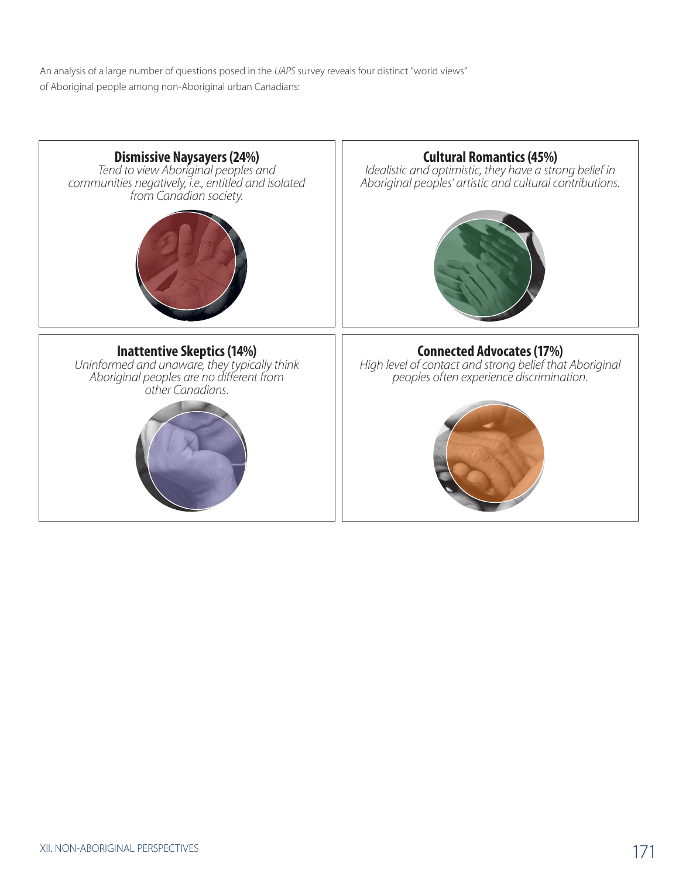An analysis of a large number of questions posed in the *UAPS* survey reveals four distinct "world views" of Aboriginal people among non-Aboriginal urban Canadians: